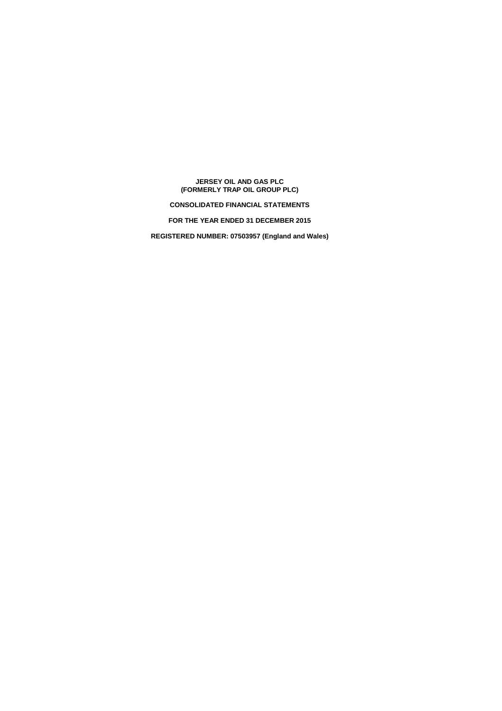### **JERSEY OIL AND GAS PLC (FORMERLY TRAP OIL GROUP PLC)**

# **CONSOLIDATED FINANCIAL STATEMENTS**

**FOR THE YEAR ENDED 31 DECEMBER 2015**

**REGISTERED NUMBER: 07503957 (England and Wales)**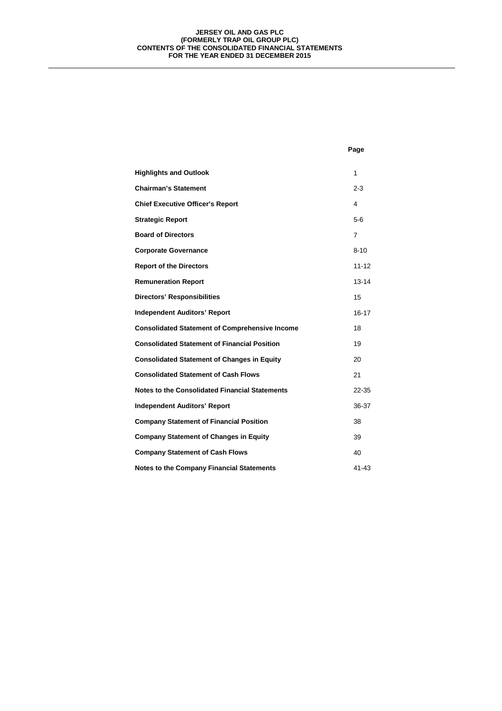|                                                       | Page           |
|-------------------------------------------------------|----------------|
| <b>Highlights and Outlook</b>                         | 1              |
| <b>Chairman's Statement</b>                           | $2 - 3$        |
| <b>Chief Executive Officer's Report</b>               | 4              |
| <b>Strategic Report</b>                               | $5 - 6$        |
| <b>Board of Directors</b>                             | $\overline{7}$ |
| <b>Corporate Governance</b>                           | $8 - 10$       |
| <b>Report of the Directors</b>                        | $11 - 12$      |
| <b>Remuneration Report</b>                            | 13-14          |
| <b>Directors' Responsibilities</b>                    | 15             |
| <b>Independent Auditors' Report</b>                   | $16 - 17$      |
| <b>Consolidated Statement of Comprehensive Income</b> | 18             |
| <b>Consolidated Statement of Financial Position</b>   | 19             |
| <b>Consolidated Statement of Changes in Equity</b>    | 20             |
| <b>Consolidated Statement of Cash Flows</b>           | 21             |
| Notes to the Consolidated Financial Statements        | 22-35          |
| <b>Independent Auditors' Report</b>                   | 36-37          |
| <b>Company Statement of Financial Position</b>        | 38             |
| <b>Company Statement of Changes in Equity</b>         | 39             |
| <b>Company Statement of Cash Flows</b>                | 40             |
| <b>Notes to the Company Financial Statements</b>      | 41-43          |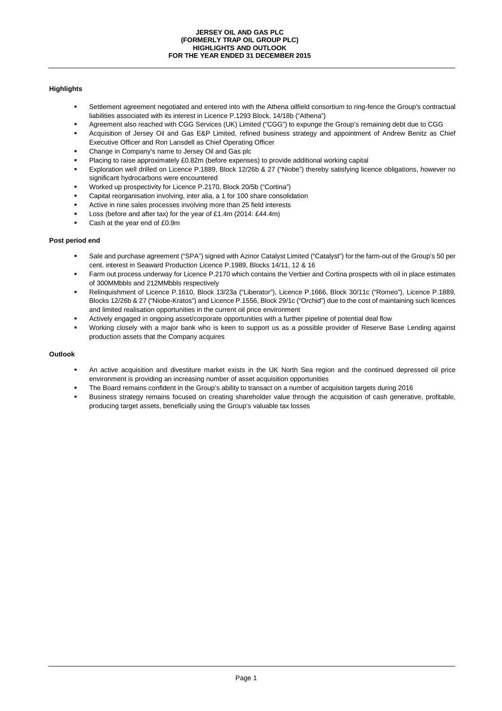## **Highlights**

- Settlement agreement negotiated and entered into with the Athena oilfield consortium to ring-fence the Group's contractual liabilities associated with its interest in Licence P.1293 Block, 14/18b ("Athena")
- Agreement also reached with CGG Services (UK) Limited ("CGG") to expunge the Group's remaining debt due to CGG
- Acquisition of Jersey Oil and Gas E&P Limited, refined business strategy and appointment of Andrew Benitz as Chief Executive Officer and Ron Lansdell as Chief Operating Officer
- Change in Company's name to Jersey Oil and Gas plc
- Placing to raise approximately £0.82m (before expenses) to provide additional working capital
- Exploration well drilled on Licence P.1889, Block 12/26b & 27 ("Niobe") thereby satisfying licence obligations, however no significant hydrocarbons were encountered
- Worked up prospectivity for Licence P.2170, Block 20/5b ("Cortina")
- Capital reorganisation involving, inter alia, a 1 for 100 share consolidation
- Active in nine sales processes involving more than 25 field interests
- Loss (before and after tax) for the year of £1.4m (2014: £44.4m)
- Cash at the year end of £0.9m

## **Post period end**

- Sale and purchase agreement ("SPA") signed with Azinor Catalyst Limited ("Catalyst") for the farm-out of the Group's 50 per cent. interest in Seaward Production Licence P.1989, Blocks 14/11, 12 & 16
- Farm out process underway for Licence P.2170 which contains the Verbier and Cortina prospects with oil in place estimates of 300MMbbls and 212MMbbls respectively
- Relinquishment of Licence P.1610, Block 13/23a ("Liberator"), Licence P.1666, Block 30/11c ("Romeo"), Licence P.1889, Blocks 12/26b & 27 ("Niobe-Kratos") and Licence P.1556, Block 29/1c ("Orchid") due to the cost of maintaining such licences and limited realisation opportunities in the current oil price environment
- Actively engaged in ongoing asset/corporate opportunities with a further pipeline of potential deal flow
- Working closely with a major bank who is keen to support us as a possible provider of Reserve Base Lending against production assets that the Company acquires

## **Outlook**

- An active acquisition and divestiture market exists in the UK North Sea region and the continued depressed oil price environment is providing an increasing number of asset acquisition opportunities
- The Board remains confident in the Group's ability to transact on a number of acquisition targets during 2016
- Business strategy remains focused on creating shareholder value through the acquisition of cash generative, profitable, producing target assets, beneficially using the Group's valuable tax losses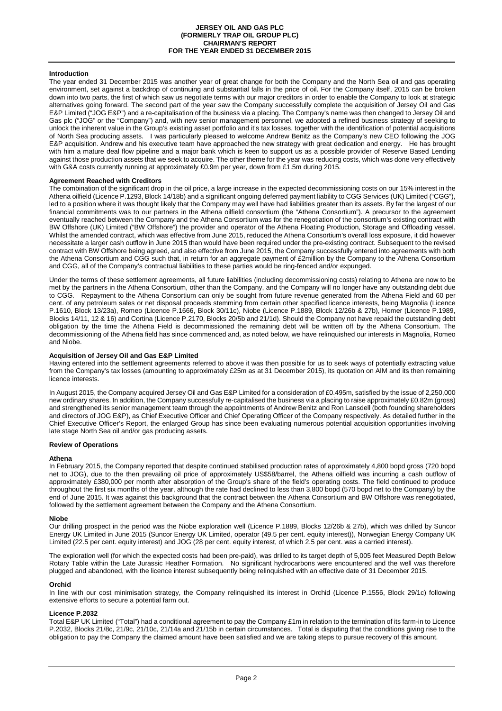## **Introduction**

The year ended 31 December 2015 was another year of great change for both the Company and the North Sea oil and gas operating environment, set against a backdrop of continuing and substantial falls in the price of oil. For the Company itself, 2015 can be broken down into two parts, the first of which saw us negotiate terms with our major creditors in order to enable the Company to look at strategic alternatives going forward. The second part of the year saw the Company successfully complete the acquisition of Jersey Oil and Gas E&P Limited ("JOG E&P") and a re-capitalisation of the business via a placing. The Company's name was then changed to Jersey Oil and Gas plc ("JOG" or the "Company") and, with new senior management personnel, we adopted a refined business strategy of seeking to unlock the inherent value in the Group's existing asset portfolio and it's tax losses, together with the identification of potential acquisitions of North Sea producing assets. I was particularly pleased to welcome Andrew Benitz as the Company's new CEO following the JOG E&P acquisition. Andrew and his executive team have approached the new strategy with great dedication and energy. He has brought with him a mature deal flow pipeline and a major bank which is keen to support us as a possible provider of Reserve Based Lending against those production assets that we seek to acquire. The other theme for the year was reducing costs, which was done very effectively with G&A costs currently running at approximately £0.9m per year, down from £1.5m during 2015.

## **Agreement Reached with Creditors**

The combination of the significant drop in the oil price, a large increase in the expected decommissioning costs on our 15% interest in the Athena oilfield (Licence P.1293, Block 14/18b) and a significant ongoing deferred payment liability to CGG Services (UK) Limited ("CGG"), led to a position where it was thought likely that the Company may well have had liabilities greater than its assets. By far the largest of our financial commitments was to our partners in the Athena oilfield consortium (the "Athena Consortium"). A precursor to the agreement eventually reached between the Company and the Athena Consortium was for the renegotiation of the consortium's existing contract with BW Offshore (UK) Limited ("BW Offshore") the provider and operator of the Athena Floating Production, Storage and Offloading vessel. Whilst the amended contract, which was effective from June 2015, reduced the Athena Consortium's overall loss exposure, it did however necessitate a larger cash outflow in June 2015 than would have been required under the pre-existing contract. Subsequent to the revised contract with BW Offshore being agreed, and also effective from June 2015, the Company successfully entered into agreements with both the Athena Consortium and CGG such that, in return for an aggregate payment of £2million by the Company to the Athena Consortium and CGG, all of the Company's contractual liabilities to these parties would be ring-fenced and/or expunged.

Under the terms of these settlement agreements, all future liabilities (including decommissioning costs) relating to Athena are now to be met by the partners in the Athena Consortium, other than the Company, and the Company will no longer have any outstanding debt due to CGG. Repayment to the Athena Consortium can only be sought from future revenue generated from the Athena Field and 60 per cent. of any petroleum sales or net disposal proceeds stemming from certain other specified licence interests, being Magnolia (Licence P.1610, Block 13/23a), Romeo (Licence P.1666, Block 30/11c), Niobe (Licence P.1889, Block 12/26b & 27b), Homer (Licence P.1989, Blocks 14/11, 12 & 16) and Cortina (Licence P.2170, Blocks 20/5b and 21/1d). Should the Company not have repaid the outstanding debt obligation by the time the Athena Field is decommissioned the remaining debt will be written off by the Athena Consortium. The decommissioning of the Athena field has since commenced and, as noted below, we have relinquished our interests in Magnolia, Romeo and Niobe.

## **Acquisition of Jersey Oil and Gas E&P Limited**

Having entered into the settlement agreements referred to above it was then possible for us to seek ways of potentially extracting value from the Company's tax losses (amounting to approximately £25m as at 31 December 2015), its quotation on AIM and its then remaining licence interests.

In August 2015, the Company acquired Jersey Oil and Gas E&P Limited for a consideration of £0.495m, satisfied by the issue of 2,250,000 new ordinary shares. In addition, the Company successfully re-capitalised the business via a placing to raise approximately £0.82m (gross) and strengthened its senior management team through the appointments of Andrew Benitz and Ron Lansdell (both founding shareholders and directors of JOG E&P), as Chief Executive Officer and Chief Operating Officer of the Company respectively. As detailed further in the Chief Executive Officer's Report, the enlarged Group has since been evaluating numerous potential acquisition opportunities involving late stage North Sea oil and/or gas producing assets.

#### **Review of Operations**

#### **Athena**

In February 2015, the Company reported that despite continued stabilised production rates of approximately 4,800 bopd gross (720 bopd net to JOG), due to the then prevailing oil price of approximately US\$58/barrel, the Athena oilfield was incurring a cash outflow of approximately £380,000 per month after absorption of the Group's share of the field's operating costs. The field continued to produce throughout the first six months of the year, although the rate had declined to less than 3,800 bopd (570 bopd net to the Company) by the end of June 2015. It was against this background that the contract between the Athena Consortium and BW Offshore was renegotiated, followed by the settlement agreement between the Company and the Athena Consortium.

#### **Niobe**

Our drilling prospect in the period was the Niobe exploration well (Licence P.1889, Blocks 12/26b & 27b), which was drilled by Suncor Energy UK Limited in June 2015 (Suncor Energy UK Limited, operator (49.5 per cent. equity interest)), Norwegian Energy Company UK Limited (22.5 per cent. equity interest) and JOG (28 per cent. equity interest, of which 2.5 per cent. was a carried interest).

The exploration well (for which the expected costs had been pre-paid), was drilled to its target depth of 5,005 feet Measured Depth Below Rotary Table within the Late Jurassic Heather Formation. No significant hydrocarbons were encountered and the well was therefore plugged and abandoned, with the licence interest subsequently being relinquished with an effective date of 31 December 2015.

#### **Orchid**

In line with our cost minimisation strategy, the Company relinquished its interest in Orchid (Licence P.1556, Block 29/1c) following extensive efforts to secure a potential farm out.

### **Licence P.2032**

Total E&P UK Limited ("Total") had a conditional agreement to pay the Company £1m in relation to the termination of its farm-in to Licence P.2032, Blocks 21/8c, 21/9c, 21/10c, 21/14a and 21/15b in certain circumstances. Total is disputing that the conditions giving rise to the obligation to pay the Company the claimed amount have been satisfied and we are taking steps to pursue recovery of this amount.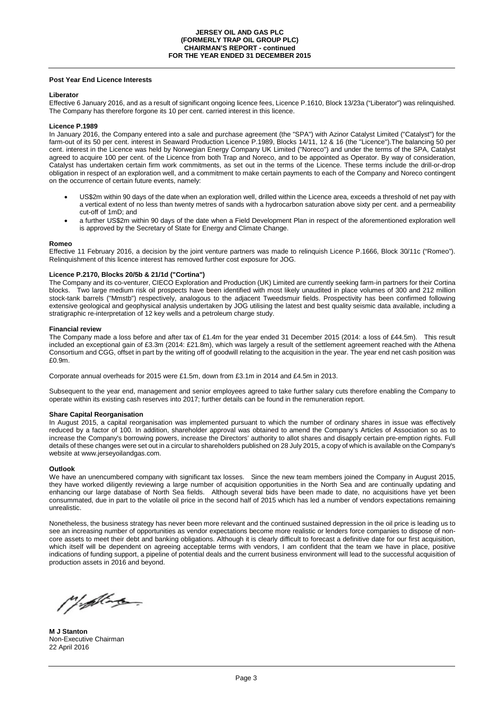## **Post Year End Licence Interests**

## **Liberator**

Effective 6 January 2016, and as a result of significant ongoing licence fees, Licence P.1610, Block 13/23a ("Liberator") was relinquished. The Company has therefore forgone its 10 per cent. carried interest in this licence.

## **Licence P.1989**

In January 2016, the Company entered into a sale and purchase agreement (the "SPA") with Azinor Catalyst Limited ("Catalyst") for the farm-out of its 50 per cent. interest in Seaward Production Licence P.1989, Blocks 14/11, 12 & 16 (the "Licence").The balancing 50 per cent. interest in the Licence was held by Norwegian Energy Company UK Limited ("Noreco") and under the terms of the SPA, Catalyst agreed to acquire 100 per cent. of the Licence from both Trap and Noreco, and to be appointed as Operator. By way of consideration, Catalyst has undertaken certain firm work commitments, as set out in the terms of the Licence. These terms include the drill-or-drop obligation in respect of an exploration well, and a commitment to make certain payments to each of the Company and Noreco contingent on the occurrence of certain future events, namely:

- US\$2m within 90 days of the date when an exploration well, drilled within the Licence area, exceeds a threshold of net pay with a vertical extent of no less than twenty metres of sands with a hydrocarbon saturation above sixty per cent. and a permeability cut-off of 1mD; and
- a further US\$2m within 90 days of the date when a Field Development Plan in respect of the aforementioned exploration well is approved by the Secretary of State for Energy and Climate Change.

### **Romeo**

Effective 11 February 2016, a decision by the joint venture partners was made to relinquish Licence P.1666, Block 30/11c ("Romeo"). Relinquishment of this licence interest has removed further cost exposure for JOG.

## **Licence P.2170, Blocks 20/5b & 21/1d ("Cortina")**

The Company and its co-venturer, CIECO Exploration and Production (UK) Limited are currently seeking farm-in partners for their Cortina blocks. Two large medium risk oil prospects have been identified with most likely unaudited in place volumes of 300 and 212 million stock-tank barrels ("Mmstb") respectively, analogous to the adjacent Tweedsmuir fields. Prospectivity has been confirmed following extensive geological and geophysical analysis undertaken by JOG utilising the latest and best quality seismic data available, including a stratigraphic re-interpretation of 12 key wells and a petroleum charge study.

#### **Financial review**

The Company made a loss before and after tax of £1.4m for the year ended 31 December 2015 (2014: a loss of £44.5m). This result included an exceptional gain of £3.3m (2014: £21.8m), which was largely a result of the settlement agreement reached with the Athena Consortium and CGG, offset in part by the writing off of goodwill relating to the acquisition in the year. The year end net cash position was £0.9m.

Corporate annual overheads for 2015 were £1.5m, down from £3.1m in 2014 and £4.5m in 2013.

Subsequent to the year end, management and senior employees agreed to take further salary cuts therefore enabling the Company to operate within its existing cash reserves into 2017; further details can be found in the remuneration report.

#### **Share Capital Reorganisation**

In August 2015, a capital reorganisation was implemented pursuant to which the number of ordinary shares in issue was effectively reduced by a factor of 100. In addition, shareholder approval was obtained to amend the Company's Articles of Association so as to increase the Company's borrowing powers, increase the Directors' authority to allot shares and disapply certain pre-emption rights. Full details of these changes were set out in a circular to shareholders published on 28 July 2015, a copy of which is available on the Company's website at www.jerseyoilandgas.com.

#### **Outlook**

We have an unencumbered company with significant tax losses. Since the new team members joined the Company in August 2015, they have worked diligently reviewing a large number of acquisition opportunities in the North Sea and are continually updating and enhancing our large database of North Sea fields. Although several bids have been made to date, no acquisitions have yet been consummated, due in part to the volatile oil price in the second half of 2015 which has led a number of vendors expectations remaining unrealistic.

Nonetheless, the business strategy has never been more relevant and the continued sustained depression in the oil price is leading us to see an increasing number of opportunities as vendor expectations become more realistic or lenders force companies to dispose of noncore assets to meet their debt and banking obligations. Although it is clearly difficult to forecast a definitive date for our first acquisition, which itself will be dependent on agreeing acceptable terms with vendors, I am confident that the team we have in place, positive indications of funding support, a pipeline of potential deals and the current business environment will lead to the successful acquisition of production assets in 2016 and beyond.

Mattente.

**M J Stanton** Non-Executive Chairman 22 April 2016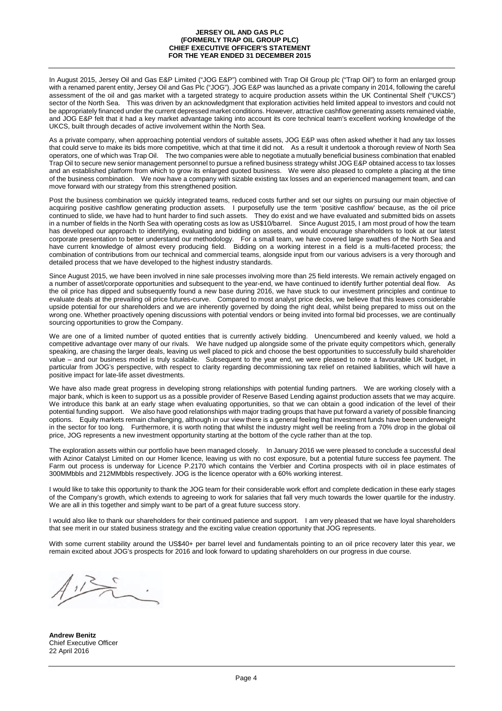### **JERSEY OIL AND GAS PLC (FORMERLY TRAP OIL GROUP PLC) CHIEF EXECUTIVE OFFICER'S STATEMENT FOR THE YEAR ENDED 31 DECEMBER 2015**

In August 2015, Jersey Oil and Gas E&P Limited ("JOG E&P") combined with Trap Oil Group plc ("Trap Oil") to form an enlarged group with a renamed parent entity, Jersey Oil and Gas Plc ("JOG"). JOG E&P was launched as a private company in 2014, following the careful assessment of the oil and gas market with a targeted strategy to acquire production assets within the UK Continental Shelf ("UKCS") sector of the North Sea. This was driven by an acknowledgment that exploration activities held limited appeal to investors and could not be appropriately financed under the current depressed market conditions. However, attractive cashflow generating assets remained viable, and JOG E&P felt that it had a key market advantage taking into account its core technical team's excellent working knowledge of the UKCS, built through decades of active involvement within the North Sea.

As a private company, when approaching potential vendors of suitable assets, JOG E&P was often asked whether it had any tax losses that could serve to make its bids more competitive, which at that time it did not. As a result it undertook a thorough review of North Sea operators, one of which was Trap Oil. The two companies were able to negotiate a mutually beneficial business combination that enabled Trap Oil to secure new senior management personnel to pursue a refined business strategy whilst JOG E&P obtained access to tax losses and an established platform from which to grow its enlarged quoted business. We were also pleased to complete a placing at the time of the business combination. We now have a company with sizable existing tax losses and an experienced management team, and can move forward with our strategy from this strengthened position.

Post the business combination we quickly integrated teams, reduced costs further and set our sights on pursuing our main objective of acquiring positive cashflow generating production assets. I purposefully use the term 'positive cashflow' because, as the oil price continued to slide, we have had to hunt harder to find such assets. They do exist and we have evaluated and submitted bids on assets in a number of fields in the North Sea with operating costs as low as US\$10/barrel. Since August 2015, I am most proud of how the team has developed our approach to identifying, evaluating and bidding on assets, and would encourage shareholders to look at our latest corporate presentation to better understand our methodology. For a small team, we have covered large swathes of the North Sea and have current knowledge of almost every producing field. Bidding on a working interest in a field is a multi-faceted process; the combination of contributions from our technical and commercial teams, alongside input from our various advisers is a very thorough and detailed process that we have developed to the highest industry standards.

Since August 2015, we have been involved in nine sale processes involving more than 25 field interests. We remain actively engaged on a number of asset/corporate opportunities and subsequent to the year-end, we have continued to identify further potential deal flow. As the oil price has dipped and subsequently found a new base during 2016, we have stuck to our investment principles and continue to evaluate deals at the prevailing oil price futures-curve. Compared to most analyst price decks, we believe that this leaves considerable upside potential for our shareholders and we are inherently governed by doing the right deal, whilst being prepared to miss out on the wrong one. Whether proactively opening discussions with potential vendors or being invited into formal bid processes, we are continually sourcing opportunities to grow the Company.

We are one of a limited number of quoted entities that is currently actively bidding. Unencumbered and keenly valued, we hold a competitive advantage over many of our rivals. We have nudged up alongside some of the private equity competitors which, generally speaking, are chasing the larger deals, leaving us well placed to pick and choose the best opportunities to successfully build shareholder value – and our business model is truly scalable. Subsequent to the year end, we were pleased to note a favourable UK budget, in particular from JOG's perspective, with respect to clarity regarding decommissioning tax relief on retained liabilities, which will have a positive impact for late-life asset divestments.

We have also made great progress in developing strong relationships with potential funding partners. We are working closely with a major bank, which is keen to support us as a possible provider of Reserve Based Lending against production assets that we may acquire. We introduce this bank at an early stage when evaluating opportunities, so that we can obtain a good indication of the level of their potential funding support. We also have good relationships with major trading groups that have put forward a variety of possible financing options. Equity markets remain challenging, although in our view there is a general feeling that investment funds have been underweight in the sector for too long. Furthermore, it is worth noting that whilst the industry might well be reeling from a 70% drop in the global oil price, JOG represents a new investment opportunity starting at the bottom of the cycle rather than at the top.

The exploration assets within our portfolio have been managed closely. In January 2016 we were pleased to conclude a successful deal with Azinor Catalyst Limited on our Homer licence, leaving us with no cost exposure, but a potential future success fee payment. The Farm out process is underway for Licence P.2170 which contains the Verbier and Cortina prospects with oil in place estimates of 300MMbbls and 212MMbbls respectively. JOG is the licence operator with a 60% working interest.

I would like to take this opportunity to thank the JOG team for their considerable work effort and complete dedication in these early stages of the Company's growth, which extends to agreeing to work for salaries that fall very much towards the lower quartile for the industry. We are all in this together and simply want to be part of a great future success story.

I would also like to thank our shareholders for their continued patience and support. I am very pleased that we have loyal shareholders that see merit in our stated business strategy and the exciting value creation opportunity that JOG represents.

With some current stability around the US\$40+ per barrel level and fundamentals pointing to an oil price recovery later this year, we remain excited about JOG's prospects for 2016 and look forward to updating shareholders on our progress in due course.

**Andrew Benitz** Chief Executive Officer 22 April 2016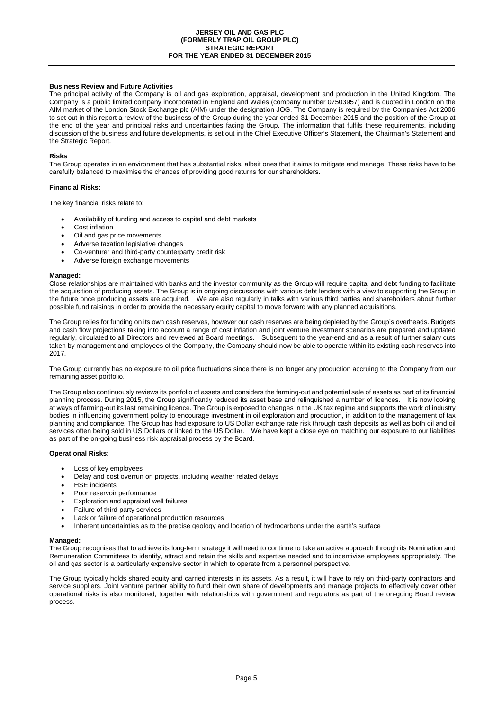## **Business Review and Future Activities**

The principal activity of the Company is oil and gas exploration, appraisal, development and production in the United Kingdom. The Company is a public limited company incorporated in England and Wales (company number 07503957) and is quoted in London on the AIM market of the London Stock Exchange plc (AIM) under the designation JOG. The Company is required by the Companies Act 2006 to set out in this report a review of the business of the Group during the year ended 31 December 2015 and the position of the Group at the end of the year and principal risks and uncertainties facing the Group. The information that fulfils these requirements, including discussion of the business and future developments, is set out in the Chief Executive Officer's Statement, the Chairman's Statement and the Strategic Report.

#### **Risks**

The Group operates in an environment that has substantial risks, albeit ones that it aims to mitigate and manage. These risks have to be carefully balanced to maximise the chances of providing good returns for our shareholders.

#### **Financial Risks:**

The key financial risks relate to:

- Availability of funding and access to capital and debt markets
- Cost inflation
- Oil and gas price movements
- Adverse taxation legislative changes
- Co-venturer and third-party counterparty credit risk
- Adverse foreign exchange movements

#### **Managed:**

Close relationships are maintained with banks and the investor community as the Group will require capital and debt funding to facilitate the acquisition of producing assets. The Group is in ongoing discussions with various debt lenders with a view to supporting the Group in the future once producing assets are acquired. We are also regularly in talks with various third parties and shareholders about further possible fund raisings in order to provide the necessary equity capital to move forward with any planned acquisitions.

The Group relies for funding on its own cash reserves, however our cash reserves are being depleted by the Group's overheads. Budgets and cash flow projections taking into account a range of cost inflation and joint venture investment scenarios are prepared and updated regularly, circulated to all Directors and reviewed at Board meetings. Subsequent to the year-end and as a result of further salary cuts taken by management and employees of the Company, the Company should now be able to operate within its existing cash reserves into 2017.

The Group currently has no exposure to oil price fluctuations since there is no longer any production accruing to the Company from our remaining asset portfolio.

The Group also continuously reviews its portfolio of assets and considers the farming-out and potential sale of assets as part of its financial planning process. During 2015, the Group significantly reduced its asset base and relinquished a number of licences. It is now looking at ways of farming-out its last remaining licence. The Group is exposed to changes in the UK tax regime and supports the work of industry bodies in influencing government policy to encourage investment in oil exploration and production, in addition to the management of tax planning and compliance. The Group has had exposure to US Dollar exchange rate risk through cash deposits as well as both oil and oil services often being sold in US Dollars or linked to the US Dollar. We have kept a close eye on matching our exposure to our liabilities as part of the on-going business risk appraisal process by the Board.

#### **Operational Risks:**

- Loss of key employees
- Delay and cost overrun on projects, including weather related delays
- HSE incidents
- Poor reservoir performance
- Exploration and appraisal well failures
- Failure of third-party services
- Lack or failure of operational production resources
- Inherent uncertainties as to the precise geology and location of hydrocarbons under the earth's surface

#### **Managed:**

The Group recognises that to achieve its long-term strategy it will need to continue to take an active approach through its Nomination and Remuneration Committees to identify, attract and retain the skills and expertise needed and to incentivise employees appropriately. The oil and gas sector is a particularly expensive sector in which to operate from a personnel perspective.

The Group typically holds shared equity and carried interests in its assets. As a result, it will have to rely on third-party contractors and service suppliers. Joint venture partner ability to fund their own share of developments and manage projects to effectively cover other operational risks is also monitored, together with relationships with government and regulators as part of the on-going Board review process.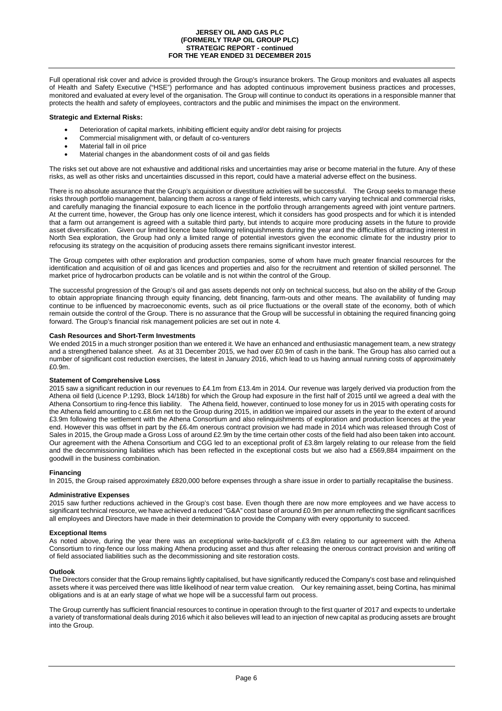#### **JERSEY OIL AND GAS PLC (FORMERLY TRAP OIL GROUP PLC) STRATEGIC REPORT - continued FOR THE YEAR ENDED 31 DECEMBER 2015**

Full operational risk cover and advice is provided through the Group's insurance brokers. The Group monitors and evaluates all aspects of Health and Safety Executive ("HSE") performance and has adopted continuous improvement business practices and processes, monitored and evaluated at every level of the organisation. The Group will continue to conduct its operations in a responsible manner that protects the health and safety of employees, contractors and the public and minimises the impact on the environment.

### **Strategic and External Risks:**

- Deterioration of capital markets, inhibiting efficient equity and/or debt raising for projects
- Commercial misalignment with, or default of co-venturers
- Material fall in oil price
- Material changes in the abandonment costs of oil and gas fields

The risks set out above are not exhaustive and additional risks and uncertainties may arise or become material in the future. Any of these risks, as well as other risks and uncertainties discussed in this report, could have a material adverse effect on the business.

There is no absolute assurance that the Group's acquisition or divestiture activities will be successful. The Group seeks to manage these risks through portfolio management, balancing them across a range of field interests, which carry varying technical and commercial risks, and carefully managing the financial exposure to each licence in the portfolio through arrangements agreed with joint venture partners. At the current time, however, the Group has only one licence interest, which it considers has good prospects and for which it is intended that a farm out arrangement is agreed with a suitable third party, but intends to acquire more producing assets in the future to provide asset diversification. Given our limited licence base following relinquishments during the year and the difficulties of attracting interest in North Sea exploration, the Group had only a limited range of potential investors given the economic climate for the industry prior to refocusing its strategy on the acquisition of producing assets there remains significant investor interest.

The Group competes with other exploration and production companies, some of whom have much greater financial resources for the identification and acquisition of oil and gas licences and properties and also for the recruitment and retention of skilled personnel. The market price of hydrocarbon products can be volatile and is not within the control of the Group.

The successful progression of the Group's oil and gas assets depends not only on technical success, but also on the ability of the Group to obtain appropriate financing through equity financing, debt financing, farm-outs and other means. The availability of funding may continue to be influenced by macroeconomic events, such as oil price fluctuations or the overall state of the economy, both of which remain outside the control of the Group. There is no assurance that the Group will be successful in obtaining the required financing going forward. The Group's financial risk management policies are set out in note 4.

### **Cash Resources and Short-Term Investments**

We ended 2015 in a much stronger position than we entered it. We have an enhanced and enthusiastic management team, a new strategy and a strengthened balance sheet. As at 31 December 2015, we had over £0.9m of cash in the bank. The Group has also carried out a number of significant cost reduction exercises, the latest in January 2016, which lead to us having annual running costs of approximately £0.9m.

#### **Statement of Comprehensive Loss**

2015 saw a significant reduction in our revenues to £4.1m from £13.4m in 2014. Our revenue was largely derived via production from the Athena oil field (Licence P.1293, Block 14/18b) for which the Group had exposure in the first half of 2015 until we agreed a deal with the Athena Consortium to ring-fence this liability. The Athena field, however, continued to lose money for us in 2015 with operating costs for the Athena field amounting to c.£8.6m net to the Group during 2015, in addition we impaired our assets in the year to the extent of around £3.9m following the settlement with the Athena Consortium and also relinquishments of exploration and production licences at the year end. However this was offset in part by the £6.4m onerous contract provision we had made in 2014 which was released through Cost of Sales in 2015, the Group made a Gross Loss of around £2.9m by the time certain other costs of the field had also been taken into account. Our agreement with the Athena Consortium and CGG led to an exceptional profit of £3.8m largely relating to our release from the field and the decommissioning liabilities which has been reflected in the exceptional costs but we also had a £569,884 impairment on the goodwill in the business combination.

#### **Financing**

In 2015, the Group raised approximately £820,000 before expenses through a share issue in order to partially recapitalise the business.

## **Administrative Expenses**

2015 saw further reductions achieved in the Group's cost base. Even though there are now more employees and we have access to significant technical resource, we have achieved a reduced "G&A" cost base of around £0.9m per annum reflecting the significant sacrifices all employees and Directors have made in their determination to provide the Company with every opportunity to succeed.

#### **Exceptional Items**

As noted above, during the year there was an exceptional write-back/profit of c.£3.8m relating to our agreement with the Athena Consortium to ring-fence our loss making Athena producing asset and thus after releasing the onerous contract provision and writing off of field associated liabilities such as the decommissioning and site restoration costs.

## **Outlook**

The Directors consider that the Group remains lightly capitalised, but have significantly reduced the Company's cost base and relinquished assets where it was perceived there was little likelihood of near term value creation. Our key remaining asset, being Cortina, has minimal obligations and is at an early stage of what we hope will be a successful farm out process.

The Group currently has sufficient financial resources to continue in operation through to the first quarter of 2017 and expects to undertake a variety of transformational deals during 2016 which it also believes will lead to an injection of new capital as producing assets are brought into the Group.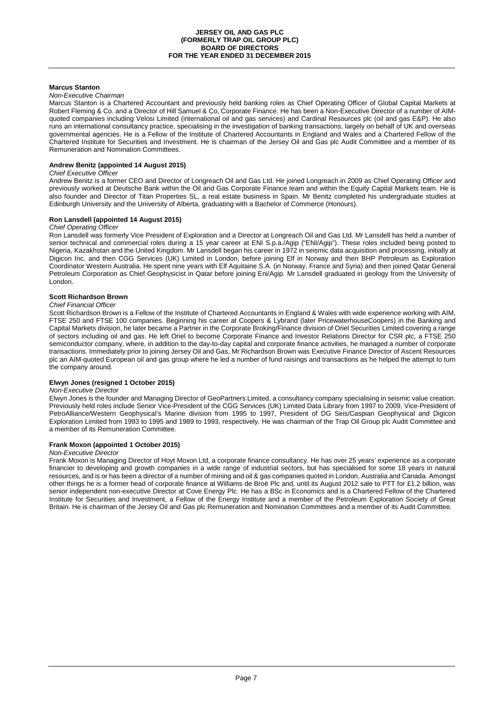## **Marcus Stanton**

## *Non-Executive Chairman*

Marcus Stanton is a Chartered Accountant and previously held banking roles as Chief Operating Officer of Global Capital Markets at Robert Fleming & Co. and a Director of Hill Samuel & Co, Corporate Finance. He has been a Non-Executive Director of a number of AIMquoted companies including Velosi Limited (international oil and gas services) and Cardinal Resources plc (oil and gas E&P). He also runs an international consultancy practice, specialising in the investigation of banking transactions, largely on behalf of UK and overseas governmental agencies. He is a Fellow of the Institute of Chartered Accountants in England and Wales and a Chartered Fellow of the Chartered Institute for Securities and Investment. He is chairman of the Jersey Oil and Gas plc Audit Committee and a member of its Remuneration and Nomination Committees.

## **Andrew Benitz (appointed 14 August 2015)**

## *Chief Executive Officer*

Andrew Benitz is a former CEO and Director of Longreach Oil and Gas Ltd. He joined Longreach in 2009 as Chief Operating Officer and previously worked at Deutsche Bank within the Oil and Gas Corporate Finance team and within the Equity Capital Markets team. He is also founder and Director of Titan Properties SL, a real estate business in Spain. Mr Benitz completed his undergraduate studies at Edinburgh University and the University of Alberta, graduating with a Bachelor of Commerce (Honours).

## **Ron Lansdell (appointed 14 August 2015)**

## *Chief Operating Officer*

Ron Lansdell was formerly Vice President of Exploration and a Director at Longreach Oil and Gas Ltd. Mr Lansdell has held a number of senior technical and commercial roles during a 15 year career at ENI S.p.a./Agip ("ENI/Agip"). These roles included being posted to Nigeria, Kazakhstan and the United Kingdom. Mr Lansdell began his career in 1972 in seismic data acquisition and processing, initially at Digicon Inc. and then CGG Services (UK) Limited in London, before joining Elf in Norway and then BHP Petroleum as Exploration Coordinator Western Australia. He spent nine years with Elf Aquitaine S.A. (in Norway, France and Syria) and then joined Qatar General Petroleum Corporation as Chief Geophysicist in Qatar before joining Eni/Agip. Mr Lansdell graduated in geology from the University of London.

## **Scott Richardson Brown**

### *Chief Financial Officer*

Scott Richardson Brown is a Fellow of the Institute of Chartered Accountants in England & Wales with wide experience working with AIM, FTSE 250 and FTSE 100 companies. Beginning his career at Coopers & Lybrand (later PricewaterhouseCoopers) in the Banking and Capital Markets division, he later became a Partner in the Corporate Broking/Finance division of Oriel Securities Limited covering a range of sectors including oil and gas. He left Oriel to become Corporate Finance and Investor Relations Director for CSR plc, a FTSE 250 semiconductor company, where, in addition to the day-to-day capital and corporate finance activities, he managed a number of corporate transactions. Immediately prior to joining Jersey Oil and Gas, Mr Richardson Brown was Executive Finance Director of Ascent Resources plc an AIM-quoted European oil and gas group where he led a number of fund raisings and transactions as he helped the attempt to turn the company around.

## **Elwyn Jones (resigned 1 October 2015)**

## *Non-Executive Director*

Elwyn Jones is the founder and Managing Director of GeoPartners Limited, a consultancy company specialising in seismic value creation. Previously held roles include Senior Vice-President of the CGG Services (UK) Limited Data Library from 1997 to 2009, Vice-President of PetroAlliance/Western Geophysical's Marine division from 1995 to 1997, President of DG Seis/Caspian Geophysical and Digicon Exploration Limited from 1993 to 1995 and 1989 to 1993, respectively. He was chairman of the Trap Oil Group plc Audit Committee and a member of its Remuneration Committee.

## **Frank Moxon (appointed 1 October 2015)**

## *Non-Executive Director*

Frank Moxon is Managing Director of Hoyt Moxon Ltd, a corporate finance consultancy. He has over 25 years' experience as a corporate financier to developing and growth companies in a wide range of industrial sectors, but has specialised for some 18 years in natural resources, and is or has been a director of a number of mining and oil & gas companies quoted in London, Australia and Canada. Amongst other things he is a former head of corporate finance at Williams de Broë Plc and, until its August 2012 sale to PTT for £1.2 billion, was senior independent non-executive Director at Cove Energy Plc. He has a BSc in Economics and is a Chartered Fellow of the Chartered Institute for Securities and Investment, a Fellow of the Energy Institute and a member of the Petroleum Exploration Society of Great Britain. He is chairman of the Jersey Oil and Gas plc Remuneration and Nomination Committees and a member of its Audit Committee.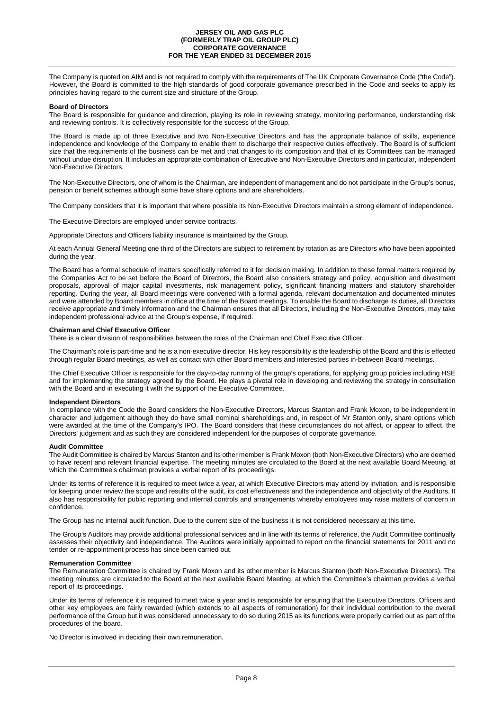#### **JERSEY OIL AND GAS PLC (FORMERLY TRAP OIL GROUP PLC) CORPORATE GOVERNANCE FOR THE YEAR ENDED 31 DECEMBER 2015**

The Company is quoted on AIM and is not required to comply with the requirements of The UK Corporate Governance Code ("the Code"). However, the Board is committed to the high standards of good corporate governance prescribed in the Code and seeks to apply its principles having regard to the current size and structure of the Group.

## **Board of Directors**

The Board is responsible for guidance and direction, playing its role in reviewing strategy, monitoring performance, understanding risk and reviewing controls. It is collectively responsible for the success of the Group.

The Board is made up of three Executive and two Non-Executive Directors and has the appropriate balance of skills, experience independence and knowledge of the Company to enable them to discharge their respective duties effectively. The Board is of sufficient size that the requirements of the business can be met and that changes to its composition and that of its Committees can be managed without undue disruption. It includes an appropriate combination of Executive and Non-Executive Directors and in particular, independent Non-Executive Directors.

The Non-Executive Directors, one of whom is the Chairman, are independent of management and do not participate in the Group's bonus, pension or benefit schemes although some have share options and are shareholders.

The Company considers that it is important that where possible its Non-Executive Directors maintain a strong element of independence.

The Executive Directors are employed under service contracts.

Appropriate Directors and Officers liability insurance is maintained by the Group.

At each Annual General Meeting one third of the Directors are subject to retirement by rotation as are Directors who have been appointed during the year.

The Board has a formal schedule of matters specifically referred to it for decision making. In addition to these formal matters required by the Companies Act to be set before the Board of Directors, the Board also considers strategy and policy, acquisition and divestment proposals, approval of major capital investments, risk management policy, significant financing matters and statutory shareholder reporting. During the year, all Board meetings were convened with a formal agenda, relevant documentation and documented minutes and were attended by Board members in office at the time of the Board meetings. To enable the Board to discharge its duties, all Directors receive appropriate and timely information and the Chairman ensures that all Directors, including the Non-Executive Directors, may take independent professional advice at the Group's expense, if required.

### **Chairman and Chief Executive Officer**

There is a clear division of responsibilities between the roles of the Chairman and Chief Executive Officer.

The Chairman's role is part-time and he is a non-executive director. His key responsibility is the leadership of the Board and this is effected through regular Board meetings, as well as contact with other Board members and interested parties in-between Board meetings.

The Chief Executive Officer is responsible for the day-to-day running of the group's operations, for applying group policies including HSE and for implementing the strategy agreed by the Board. He plays a pivotal role in developing and reviewing the strategy in consultation with the Board and in executing it with the support of the Executive Committee.

#### **Independent Directors**

In compliance with the Code the Board considers the Non-Executive Directors, Marcus Stanton and Frank Moxon, to be independent in character and judgement although they do have small nominal shareholdings and, in respect of Mr Stanton only, share options which were awarded at the time of the Company's IPO. The Board considers that these circumstances do not affect, or appear to affect, the Directors' judgement and as such they are considered independent for the purposes of corporate governance.

#### **Audit Committee**

The Audit Committee is chaired by Marcus Stanton and its other member is Frank Moxon (both Non-Executive Directors) who are deemed to have recent and relevant financial expertise. The meeting minutes are circulated to the Board at the next available Board Meeting, at which the Committee's chairman provides a verbal report of its proceedings.

Under its terms of reference it is required to meet twice a year, at which Executive Directors may attend by invitation, and is responsible for keeping under review the scope and results of the audit, its cost effectiveness and the independence and objectivity of the Auditors. It also has responsibility for public reporting and internal controls and arrangements whereby employees may raise matters of concern in confidence.

The Group has no internal audit function. Due to the current size of the business it is not considered necessary at this time.

The Group's Auditors may provide additional professional services and in line with its terms of reference, the Audit Committee continually assesses their objectivity and independence. The Auditors were initially appointed to report on the financial statements for 2011 and no tender or re-appointment process has since been carried out.

#### **Remuneration Committee**

The Remuneration Committee is chaired by Frank Moxon and its other member is Marcus Stanton (both Non-Executive Directors). The meeting minutes are circulated to the Board at the next available Board Meeting, at which the Committee's chairman provides a verbal report of its proceedings.

Under its terms of reference it is required to meet twice a year and is responsible for ensuring that the Executive Directors, Officers and other key employees are fairly rewarded (which extends to all aspects of remuneration) for their individual contribution to the overall performance of the Group but it was considered unnecessary to do so during 2015 as its functions were properly carried out as part of the procedures of the board.

No Director is involved in deciding their own remuneration.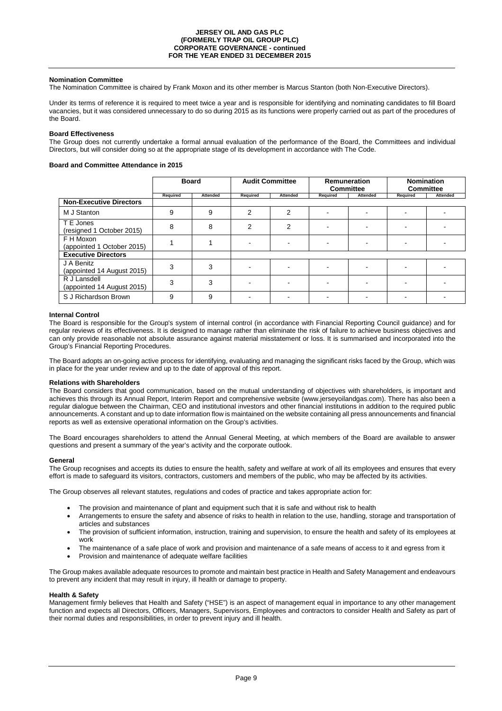## **Nomination Committee**

The Nomination Committee is chaired by Frank Moxon and its other member is Marcus Stanton (both Non-Executive Directors).

Under its terms of reference it is required to meet twice a year and is responsible for identifying and nominating candidates to fill Board vacancies, but it was considered unnecessary to do so during 2015 as its functions were properly carried out as part of the procedures of the Board.

#### **Board Effectiveness**

The Group does not currently undertake a formal annual evaluation of the performance of the Board, the Committees and individual Directors, but will consider doing so at the appropriate stage of its development in accordance with The Code.

### **Board and Committee Attendance in 2015**

|                                            | <b>Board</b> |                 | <b>Audit Committee</b> |                 | Remuneration<br>Committee |                 | <b>Nomination</b><br><b>Committee</b> |                 |
|--------------------------------------------|--------------|-----------------|------------------------|-----------------|---------------------------|-----------------|---------------------------------------|-----------------|
|                                            | Required     | <b>Attended</b> | Required               | <b>Attended</b> | Required                  | <b>Attended</b> | Required                              | <b>Attended</b> |
| <b>Non-Executive Directors</b>             |              |                 |                        |                 |                           |                 |                                       |                 |
| M J Stanton                                | 9            | 9               | 2                      | 2               |                           |                 |                                       |                 |
| T E Jones<br>(resigned 1 October 2015)     | 8            | 8               | 2                      | 2               | -                         | ۰               |                                       |                 |
| F H Moxon<br>(appointed 1 October 2015)    |              |                 |                        |                 |                           | ۰               |                                       |                 |
| <b>Executive Directors</b>                 |              |                 |                        |                 |                           |                 |                                       |                 |
| J A Benitz<br>(appointed 14 August 2015)   | 3            | 3               |                        |                 |                           | ۰               |                                       |                 |
| R J Lansdell<br>(appointed 14 August 2015) | 3            | 3               |                        |                 |                           | ۰               |                                       |                 |
| S J Richardson Brown                       | 9            | 9               |                        |                 |                           |                 |                                       |                 |

### **Internal Control**

The Board is responsible for the Group's system of internal control (in accordance with Financial Reporting Council guidance) and for regular reviews of its effectiveness. It is designed to manage rather than eliminate the risk of failure to achieve business objectives and can only provide reasonable not absolute assurance against material misstatement or loss. It is summarised and incorporated into the Group's Financial Reporting Procedures.

The Board adopts an on-going active process for identifying, evaluating and managing the significant risks faced by the Group, which was in place for the year under review and up to the date of approval of this report.

#### **Relations with Shareholders**

The Board considers that good communication, based on the mutual understanding of objectives with shareholders, is important and achieves this through its Annual Report, Interim Report and comprehensive website (www.jerseyoilandgas.com). There has also been a regular dialogue between the Chairman, CEO and institutional investors and other financial institutions in addition to the required public announcements. A constant and up to date information flow is maintained on the website containing all press announcements and financial reports as well as extensive operational information on the Group's activities.

The Board encourages shareholders to attend the Annual General Meeting, at which members of the Board are available to answer questions and present a summary of the year's activity and the corporate outlook.

#### **General**

The Group recognises and accepts its duties to ensure the health, safety and welfare at work of all its employees and ensures that every effort is made to safeguard its visitors, contractors, customers and members of the public, who may be affected by its activities.

The Group observes all relevant statutes, regulations and codes of practice and takes appropriate action for:

- The provision and maintenance of plant and equipment such that it is safe and without risk to health
- Arrangements to ensure the safety and absence of risks to health in relation to the use, handling, storage and transportation of articles and substances
- The provision of sufficient information, instruction, training and supervision, to ensure the health and safety of its employees at work
- The maintenance of a safe place of work and provision and maintenance of a safe means of access to it and egress from it
- Provision and maintenance of adequate welfare facilities

The Group makes available adequate resources to promote and maintain best practice in Health and Safety Management and endeavours to prevent any incident that may result in injury, ill health or damage to property.

## **Health & Safety**

Management firmly believes that Health and Safety ("HSE") is an aspect of management equal in importance to any other management function and expects all Directors, Officers, Managers, Supervisors, Employees and contractors to consider Health and Safety as part of their normal duties and responsibilities, in order to prevent injury and ill health.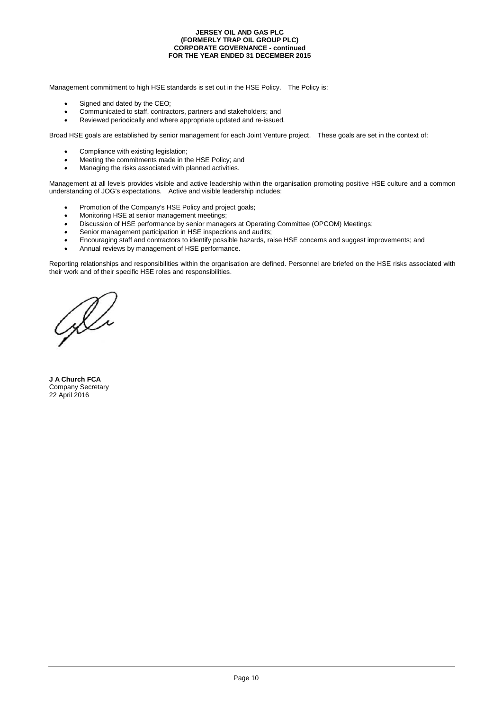### **JERSEY OIL AND GAS PLC (FORMERLY TRAP OIL GROUP PLC) CORPORATE GOVERNANCE - continued FOR THE YEAR ENDED 31 DECEMBER 2015**

Management commitment to high HSE standards is set out in the HSE Policy. The Policy is:

- Signed and dated by the CEO;
- Communicated to staff, contractors, partners and stakeholders; and
- Reviewed periodically and where appropriate updated and re-issued.

Broad HSE goals are established by senior management for each Joint Venture project. These goals are set in the context of:

- Compliance with existing legislation;
- Meeting the commitments made in the HSE Policy; and
- Managing the risks associated with planned activities.

Management at all levels provides visible and active leadership within the organisation promoting positive HSE culture and a common understanding of JOG's expectations. Active and visible leadership includes:

- Promotion of the Company's HSE Policy and project goals;
- Monitoring HSE at senior management meetings;
- Discussion of HSE performance by senior managers at Operating Committee (OPCOM) Meetings;
- Senior management participation in HSE inspections and audits;
- Encouraging staff and contractors to identify possible hazards, raise HSE concerns and suggest improvements; and
- Annual reviews by management of HSE performance.

Reporting relationships and responsibilities within the organisation are defined. Personnel are briefed on the HSE risks associated with their work and of their specific HSE roles and responsibilities.

D

**J A Church FCA** Company Secretary 22 April 2016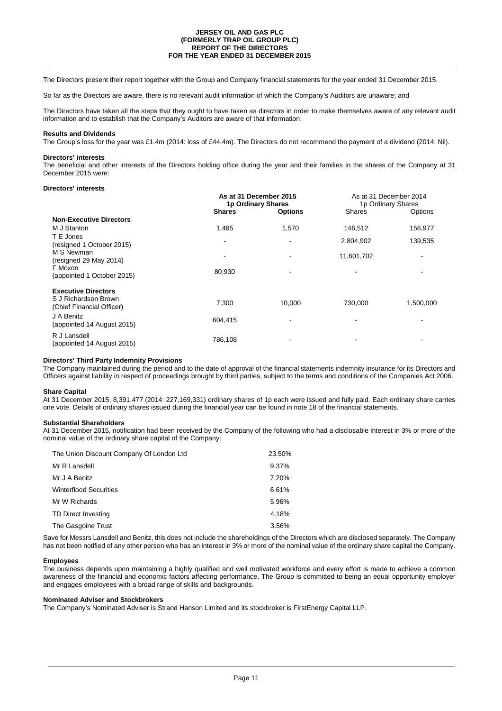The Directors present their report together with the Group and Company financial statements for the year ended 31 December 2015.

So far as the Directors are aware, there is no relevant audit information of which the Company's Auditors are unaware; and

The Directors have taken all the steps that they ought to have taken as directors in order to make themselves aware of any relevant audit information and to establish that the Company's Auditors are aware of that information.

### **Results and Dividends**

The Group's loss for the year was £1.4m (2014: loss of £44.4m). The Directors do not recommend the payment of a dividend (2014: Nil).

#### **Directors' interests**

The beneficial and other interests of the Directors holding office during the year and their families in the shares of the Company at 31 December 2015 were:

## **Directors' interests**

|                                                                                 | As at 31 December 2015<br><b>1p Ordinary Shares</b> |                | As at 31 December 2014<br>1p Ordinary Shares |           |  |
|---------------------------------------------------------------------------------|-----------------------------------------------------|----------------|----------------------------------------------|-----------|--|
|                                                                                 | <b>Shares</b>                                       | <b>Options</b> | <b>Shares</b>                                | Options   |  |
| <b>Non-Executive Directors</b>                                                  |                                                     |                |                                              |           |  |
| M J Stanton                                                                     | 1,465                                               | 1,570          | 146,512                                      | 156,977   |  |
| T E Jones<br>(resigned 1 October 2015)                                          |                                                     | ۰              | 2,804,902                                    | 139,535   |  |
| M S Newman<br>(resigned 29 May 2014)                                            |                                                     |                | 11,601,702                                   |           |  |
| F Moxon<br>(appointed 1 October 2015)                                           | 80,930                                              |                |                                              |           |  |
| <b>Executive Directors</b><br>S J Richardson Brown<br>(Chief Financial Officer) | 7.300                                               | 10,000         | 730,000                                      | 1,500,000 |  |
| J A Benitz<br>(appointed 14 August 2015)                                        | 604,415                                             |                |                                              |           |  |
| R J Lansdell<br>(appointed 14 August 2015)                                      | 786,108                                             |                |                                              |           |  |

## **Directors' Third Party Indemnity Provisions**

The Company maintained during the period and to the date of approval of the financial statements indemnity insurance for its Directors and Officers against liability in respect of proceedings brought by third parties, subject to the terms and conditions of the Companies Act 2006.

### **Share Capital**

At 31 December 2015, 8,391,477 (2014: 227,169,331) ordinary shares of 1p each were issued and fully paid. Each ordinary share carries one vote. Details of ordinary shares issued during the financial year can be found in note 18 of the financial statements.

#### **Substantial Shareholders**

At 31 December 2015, notification had been received by the Company of the following who had a disclosable interest in 3% or more of the nominal value of the ordinary share capital of the Company:

| The Union Discount Company Of London Ltd | 23.50%   |
|------------------------------------------|----------|
| Mr R Lansdell                            | 9.37%    |
| Mr J A Benitz                            | 7.20%    |
| <b>Winterflood Securities</b>            | 6.61%    |
| Mr W Richards                            | 5.96%    |
| TD Direct Investing                      | 4.18%    |
| The Gasgoine Trust                       | $3.56\%$ |

Save for Messrs Lansdell and Benitz, this does not include the shareholdings of the Directors which are disclosed separately. The Company has not been notified of any other person who has an interest in 3% or more of the nominal value of the ordinary share capital the Company.

#### **Employees**

The business depends upon maintaining a highly qualified and well motivated workforce and every effort is made to achieve a common awareness of the financial and economic factors affecting performance. The Group is committed to being an equal opportunity employer and engages employees with a broad range of skills and backgrounds.

#### **Nominated Adviser and Stockbrokers**

The Company's Nominated Adviser is Strand Hanson Limited and its stockbroker is FirstEnergy Capital LLP.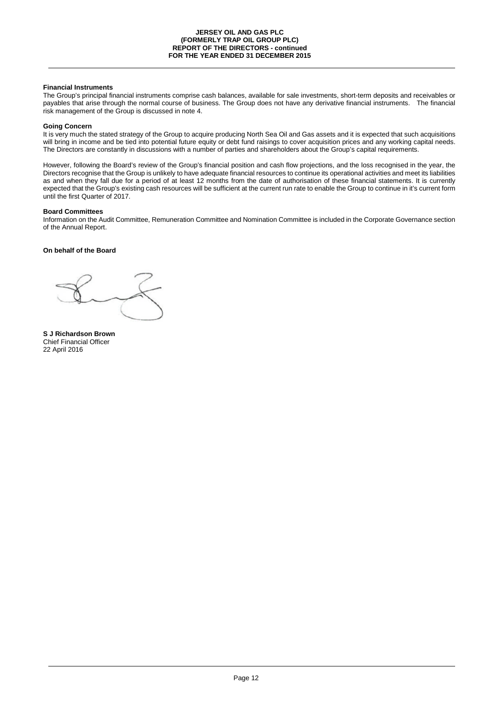## **Financial Instruments**

The Group's principal financial instruments comprise cash balances, available for sale investments, short-term deposits and receivables or payables that arise through the normal course of business. The Group does not have any derivative financial instruments. The financial risk management of the Group is discussed in note 4.

## **Going Concern**

It is very much the stated strategy of the Group to acquire producing North Sea Oil and Gas assets and it is expected that such acquisitions will bring in income and be tied into potential future equity or debt fund raisings to cover acquisition prices and any working capital needs. The Directors are constantly in discussions with a number of parties and shareholders about the Group's capital requirements.

However, following the Board's review of the Group's financial position and cash flow projections, and the loss recognised in the year, the Directors recognise that the Group is unlikely to have adequate financial resources to continue its operational activities and meet its liabilities as and when they fall due for a period of at least 12 months from the date of authorisation of these financial statements. It is currently expected that the Group's existing cash resources will be sufficient at the current run rate to enable the Group to continue in it's current form until the first Quarter of 2017.

## **Board Committees**

Information on the Audit Committee, Remuneration Committee and Nomination Committee is included in the Corporate Governance section of the Annual Report.

## **On behalf of the Board**

**S J Richardson Brown** Chief Financial Officer 22 April 2016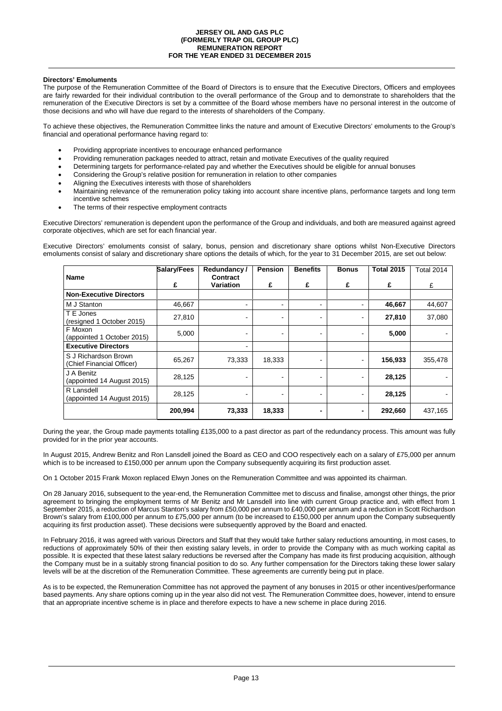## **Directors' Emoluments**

The purpose of the Remuneration Committee of the Board of Directors is to ensure that the Executive Directors, Officers and employees are fairly rewarded for their individual contribution to the overall performance of the Group and to demonstrate to shareholders that the remuneration of the Executive Directors is set by a committee of the Board whose members have no personal interest in the outcome of those decisions and who will have due regard to the interests of shareholders of the Company.

To achieve these objectives, the Remuneration Committee links the nature and amount of Executive Directors' emoluments to the Group's financial and operational performance having regard to:

- Providing appropriate incentives to encourage enhanced performance
- Providing remuneration packages needed to attract, retain and motivate Executives of the quality required
- Determining targets for performance-related pay and whether the Executives should be eligible for annual bonuses
- Considering the Group's relative position for remuneration in relation to other companies
- Aligning the Executives interests with those of shareholders
- Maintaining relevance of the remuneration policy taking into account share incentive plans, performance targets and long term incentive schemes
- The terms of their respective employment contracts

Executive Directors' remuneration is dependent upon the performance of the Group and individuals, and both are measured against agreed corporate objectives, which are set for each financial year.

Executive Directors' emoluments consist of salary, bonus, pension and discretionary share options whilst Non-Executive Directors emoluments consist of salary and discretionary share options the details of which, for the year to 31 December 2015, are set out below:

|                                                   | <b>Salary/Fees</b> | Redundancy/           | <b>Pension</b> | <b>Benefits</b> | <b>Bonus</b> | <b>Total 2015</b> | <b>Total 2014</b> |
|---------------------------------------------------|--------------------|-----------------------|----------------|-----------------|--------------|-------------------|-------------------|
| <b>Name</b>                                       | £                  | Contract<br>Variation | £              | £               | £            | £                 | £                 |
| <b>Non-Executive Directors</b>                    |                    |                       |                |                 |              |                   |                   |
| M J Stanton                                       | 46,667             |                       |                |                 |              | 46,667            | 44,607            |
| T E Jones<br>(resigned 1 October 2015)            | 27,810             | ٠                     |                |                 |              | 27,810            | 37,080            |
| F Moxon<br>(appointed 1 October 2015)             | 5,000              | -                     |                |                 |              | 5,000             |                   |
| <b>Executive Directors</b>                        |                    |                       |                |                 |              |                   |                   |
| S J Richardson Brown<br>(Chief Financial Officer) | 65,267             | 73,333                | 18,333         |                 |              | 156,933           | 355,478           |
| J A Benitz<br>(appointed 14 August 2015)          | 28,125             |                       |                |                 |              | 28,125            |                   |
| R Lansdell<br>(appointed 14 August 2015)          | 28,125             |                       |                |                 |              | 28,125            |                   |
|                                                   | 200,994            | 73,333                | 18,333         |                 |              | 292,660           | 437,165           |

During the year, the Group made payments totalling £135,000 to a past director as part of the redundancy process. This amount was fully provided for in the prior year accounts.

In August 2015, Andrew Benitz and Ron Lansdell joined the Board as CEO and COO respectively each on a salary of £75,000 per annum which is to be increased to £150,000 per annum upon the Company subsequently acquiring its first production asset.

On 1 October 2015 Frank Moxon replaced Elwyn Jones on the Remuneration Committee and was appointed its chairman.

On 28 January 2016, subsequent to the year-end, the Remuneration Committee met to discuss and finalise, amongst other things, the prior agreement to bringing the employment terms of Mr Benitz and Mr Lansdell into line with current Group practice and, with effect from 1 September 2015, a reduction of Marcus Stanton's salary from £50,000 per annum to £40,000 per annum and a reduction in Scott Richardson Brown's salary from £100,000 per annum to £75,000 per annum (to be increased to £150,000 per annum upon the Company subsequently acquiring its first production asset). These decisions were subsequently approved by the Board and enacted.

In February 2016, it was agreed with various Directors and Staff that they would take further salary reductions amounting, in most cases, to reductions of approximately 50% of their then existing salary levels, in order to provide the Company with as much working capital as possible. It is expected that these latest salary reductions be reversed after the Company has made its first producing acquisition, although the Company must be in a suitably strong financial position to do so. Any further compensation for the Directors taking these lower salary levels will be at the discretion of the Remuneration Committee. These agreements are currently being put in place.

As is to be expected, the Remuneration Committee has not approved the payment of any bonuses in 2015 or other incentives/performance based payments. Any share options coming up in the year also did not vest. The Remuneration Committee does, however, intend to ensure that an appropriate incentive scheme is in place and therefore expects to have a new scheme in place during 2016.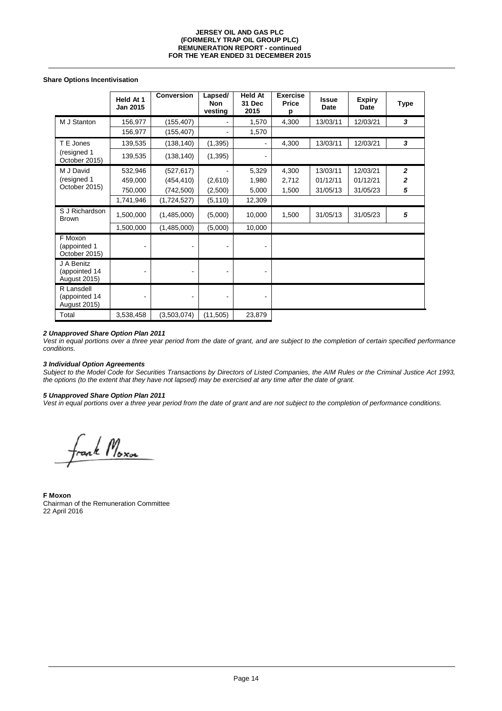### **JERSEY OIL AND GAS PLC (FORMERLY TRAP OIL GROUP PLC) REMUNERATION REPORT - continued FOR THE YEAR ENDED 31 DECEMBER 2015**

## **Share Options Incentivisation**

|                                             | Held At 1<br><b>Jan 2015</b> | <b>Conversion</b> | Lapsed/<br><b>Non</b><br>vesting | <b>Held At</b><br>31 Dec<br>2015 | <b>Exercise</b><br><b>Price</b><br>p | <b>Issue</b><br>Date | <b>Expiry</b><br>Date | <b>Type</b>    |
|---------------------------------------------|------------------------------|-------------------|----------------------------------|----------------------------------|--------------------------------------|----------------------|-----------------------|----------------|
| M J Stanton                                 | 156,977                      | (155, 407)        |                                  | 1,570                            | 4,300                                | 13/03/11             | 12/03/21              | 3              |
|                                             | 156,977                      | (155, 407)        |                                  | 1,570                            |                                      |                      |                       |                |
| T E Jones                                   | 139,535                      | (138, 140)        | (1, 395)                         |                                  | 4,300                                | 13/03/11             | 12/03/21              | 3              |
| (resigned 1<br>October 2015)                | 139,535                      | (138, 140)        | (1, 395)                         |                                  |                                      |                      |                       |                |
| M J David                                   | 532,946                      | (527, 617)        |                                  | 5,329                            | 4,300                                | 13/03/11             | 12/03/21              | $\overline{2}$ |
| (resigned 1                                 | 459,000                      | (454, 410)        | (2,610)                          | 1,980                            | 2,712                                | 01/12/11             | 01/12/21              | $\mathbf{2}$   |
| October 2015)                               | 750,000                      | (742, 500)        | (2,500)                          | 5,000                            | 1,500                                | 31/05/13             | 31/05/23              | 5              |
|                                             | 1,741,946                    | (1,724,527)       | (5, 110)                         | 12,309                           |                                      |                      |                       |                |
| S J Richardson<br><b>Brown</b>              | 1,500,000                    | (1,485,000)       | (5,000)                          | 10,000                           | 1,500                                | 31/05/13             | 31/05/23              | 5              |
|                                             | 1,500,000                    | (1,485,000)       | (5,000)                          | 10,000                           |                                      |                      |                       |                |
| F Moxon<br>(appointed 1<br>October 2015)    |                              |                   |                                  |                                  |                                      |                      |                       |                |
| J A Benitz<br>(appointed 14<br>August 2015) |                              |                   |                                  |                                  |                                      |                      |                       |                |
| R Lansdell<br>(appointed 14<br>August 2015) |                              |                   |                                  |                                  |                                      |                      |                       |                |
| Total                                       | 3,538,458                    | (3,503,074)       | (11, 505)                        | 23,879                           |                                      |                      |                       |                |

# *2 Unapproved Share Option Plan 2011*

*Vest in equal portions over a three year period from the date of grant, and are subject to the completion of certain specified performance conditions.*

## *3 Individual Option Agreements*

*Subject to the Model Code for Securities Transactions by Directors of Listed Companies, the AIM Rules or the Criminal Justice Act 1993, the options (to the extent that they have not lapsed) may be exercised at any time after the date of grant.*

## *5 Unapproved Share Option Plan 2011*

*Vest in equal portions over a three year period from the date of grant and are not subject to the completion of performance conditions.*

ank Moxa

**F Moxon** Chairman of the Remuneration Committee 22 April 2016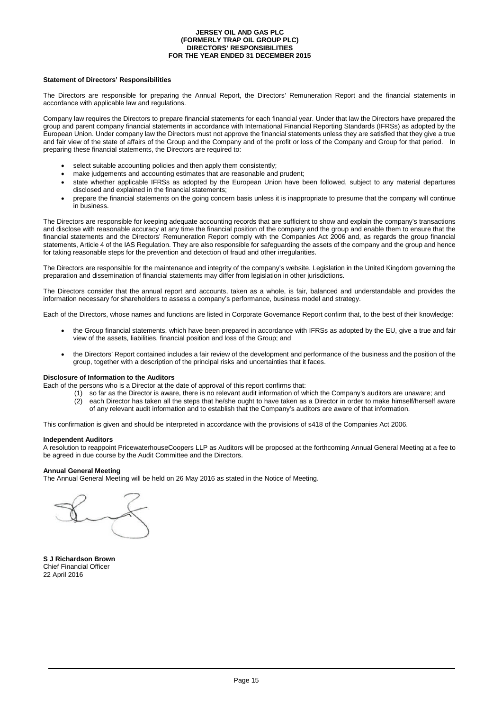## **Statement of Directors' Responsibilities**

The Directors are responsible for preparing the Annual Report, the Directors' Remuneration Report and the financial statements in accordance with applicable law and regulations.

Company law requires the Directors to prepare financial statements for each financial year. Under that law the Directors have prepared the group and parent company financial statements in accordance with International Financial Reporting Standards (IFRSs) as adopted by the European Union. Under company law the Directors must not approve the financial statements unless they are satisfied that they give a true and fair view of the state of affairs of the Group and the Company and of the profit or loss of the Company and Group for that period. In preparing these financial statements, the Directors are required to:

- select suitable accounting policies and then apply them consistently;
- make judgements and accounting estimates that are reasonable and prudent;
- state whether applicable IFRSs as adopted by the European Union have been followed, subject to any material departures disclosed and explained in the financial statements;
- prepare the financial statements on the going concern basis unless it is inappropriate to presume that the company will continue in business.

The Directors are responsible for keeping adequate accounting records that are sufficient to show and explain the company's transactions and disclose with reasonable accuracy at any time the financial position of the company and the group and enable them to ensure that the financial statements and the Directors' Remuneration Report comply with the Companies Act 2006 and, as regards the group financial statements, Article 4 of the IAS Regulation. They are also responsible for safeguarding the assets of the company and the group and hence for taking reasonable steps for the prevention and detection of fraud and other irregularities.

The Directors are responsible for the maintenance and integrity of the company's website. Legislation in the United Kingdom governing the preparation and dissemination of financial statements may differ from legislation in other jurisdictions.

The Directors consider that the annual report and accounts, taken as a whole, is fair, balanced and understandable and provides the information necessary for shareholders to assess a company's performance, business model and strategy.

Each of the Directors, whose names and functions are listed in Corporate Governance Report confirm that, to the best of their knowledge:

- the Group financial statements, which have been prepared in accordance with IFRSs as adopted by the EU, give a true and fair view of the assets, liabilities, financial position and loss of the Group; and
- the Directors' Report contained includes a fair review of the development and performance of the business and the position of the group, together with a description of the principal risks and uncertainties that it faces.

#### **Disclosure of Information to the Auditors**

Each of the persons who is a Director at the date of approval of this report confirms that:

- (1) so far as the Director is aware, there is no relevant audit information of which the Company's auditors are unaware; and
- (2) each Director has taken all the steps that he/she ought to have taken as a Director in order to make himself/herself aware of any relevant audit information and to establish that the Company's auditors are aware of that information.

This confirmation is given and should be interpreted in accordance with the provisions of s418 of the Companies Act 2006.

#### **Independent Auditors**

A resolution to reappoint PricewaterhouseCoopers LLP as Auditors will be proposed at the forthcoming Annual General Meeting at a fee to be agreed in due course by the Audit Committee and the Directors.

## **Annual General Meeting**

The Annual General Meeting will be held on 26 May 2016 as stated in the Notice of Meeting.

**S J Richardson Brown** Chief Financial Officer 22 April 2016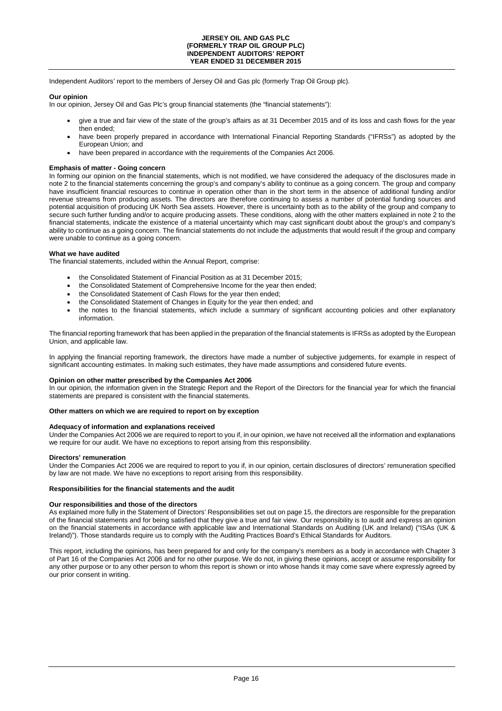Independent Auditors' report to the members of Jersey Oil and Gas plc (formerly Trap Oil Group plc).

### **Our opinion**

In our opinion, Jersey Oil and Gas Plc's group financial statements (the "financial statements"):

- give a true and fair view of the state of the group's affairs as at 31 December 2015 and of its loss and cash flows for the year then ended;
- have been properly prepared in accordance with International Financial Reporting Standards ("IFRSs") as adopted by the European Union; and
- have been prepared in accordance with the requirements of the Companies Act 2006.

## **Emphasis of matter - Going concern**

In forming our opinion on the financial statements, which is not modified, we have considered the adequacy of the disclosures made in note 2 to the financial statements concerning the group's and company's ability to continue as a going concern. The group and company have insufficient financial resources to continue in operation other than in the short term in the absence of additional funding and/or revenue streams from producing assets. The directors are therefore continuing to assess a number of potential funding sources and potential acquisition of producing UK North Sea assets. However, there is uncertainty both as to the ability of the group and company to secure such further funding and/or to acquire producing assets. These conditions, along with the other matters explained in note 2 to the financial statements, indicate the existence of a material uncertainty which may cast significant doubt about the group's and company's ability to continue as a going concern. The financial statements do not include the adjustments that would result if the group and company were unable to continue as a going concern.

### **What we have audited**

The financial statements, included within the Annual Report, comprise:

- the Consolidated Statement of Financial Position as at 31 December 2015;
- the Consolidated Statement of Comprehensive Income for the year then ended;
- the Consolidated Statement of Cash Flows for the year then ended;
- the Consolidated Statement of Changes in Equity for the year then ended; and
- the notes to the financial statements, which include a summary of significant accounting policies and other explanatory information.

The financial reporting framework that has been applied in the preparation of the financial statements is IFRSs as adopted by the European Union, and applicable law.

In applying the financial reporting framework, the directors have made a number of subjective judgements, for example in respect of significant accounting estimates. In making such estimates, they have made assumptions and considered future events.

#### **Opinion on other matter prescribed by the Companies Act 2006**

In our opinion, the information given in the Strategic Report and the Report of the Directors for the financial year for which the financial statements are prepared is consistent with the financial statements.

#### **Other matters on which we are required to report on by exception**

## **Adequacy of information and explanations received**

Under the Companies Act 2006 we are required to report to you if, in our opinion, we have not received all the information and explanations we require for our audit. We have no exceptions to report arising from this responsibility.

### **Directors' remuneration**

Under the Companies Act 2006 we are required to report to you if, in our opinion, certain disclosures of directors' remuneration specified by law are not made. We have no exceptions to report arising from this responsibility.

### **Responsibilities for the financial statements and the audit**

#### **Our responsibilities and those of the directors**

As explained more fully in the Statement of Directors' Responsibilities set out on page 15, the directors are responsible for the preparation of the financial statements and for being satisfied that they give a true and fair view. Our responsibility is to audit and express an opinion on the financial statements in accordance with applicable law and International Standards on Auditing (UK and Ireland) ("ISAs (UK & Ireland)"). Those standards require us to comply with the Auditing Practices Board's Ethical Standards for Auditors.

This report, including the opinions, has been prepared for and only for the company's members as a body in accordance with Chapter 3 of Part 16 of the Companies Act 2006 and for no other purpose. We do not, in giving these opinions, accept or assume responsibility for any other purpose or to any other person to whom this report is shown or into whose hands it may come save where expressly agreed by our prior consent in writing.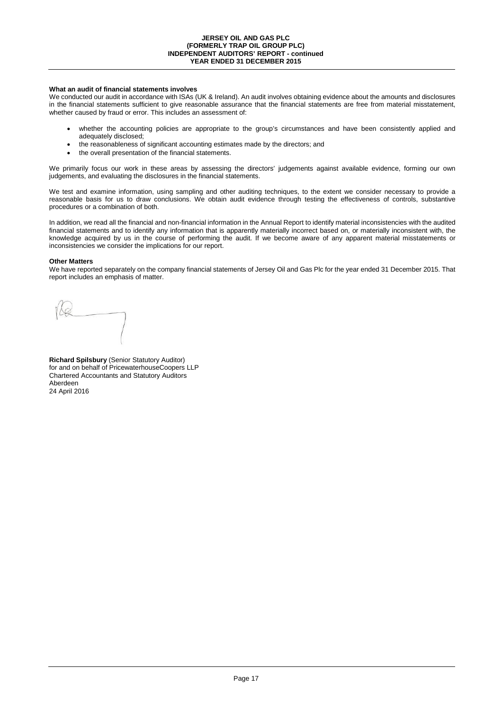## **What an audit of financial statements involves**

We conducted our audit in accordance with ISAs (UK & Ireland). An audit involves obtaining evidence about the amounts and disclosures in the financial statements sufficient to give reasonable assurance that the financial statements are free from material misstatement, whether caused by fraud or error. This includes an assessment of:

- whether the accounting policies are appropriate to the group's circumstances and have been consistently applied and adequately disclosed;
- the reasonableness of significant accounting estimates made by the directors; and
- the overall presentation of the financial statements.

We primarily focus our work in these areas by assessing the directors' judgements against available evidence, forming our own judgements, and evaluating the disclosures in the financial statements.

We test and examine information, using sampling and other auditing techniques, to the extent we consider necessary to provide a reasonable basis for us to draw conclusions. We obtain audit evidence through testing the effectiveness of controls, substantive procedures or a combination of both.

In addition, we read all the financial and non-financial information in the Annual Report to identify material inconsistencies with the audited financial statements and to identify any information that is apparently materially incorrect based on, or materially inconsistent with, the knowledge acquired by us in the course of performing the audit. If we become aware of any apparent material misstatements or inconsistencies we consider the implications for our report.

#### **Other Matters**

We have reported separately on the company financial statements of Jersey Oil and Gas Plc for the year ended 31 December 2015. That report includes an emphasis of matter.

**Richard Spilsbury** (Senior Statutory Auditor) for and on behalf of PricewaterhouseCoopers LLP Chartered Accountants and Statutory Auditors Aberdeen 24 April 2016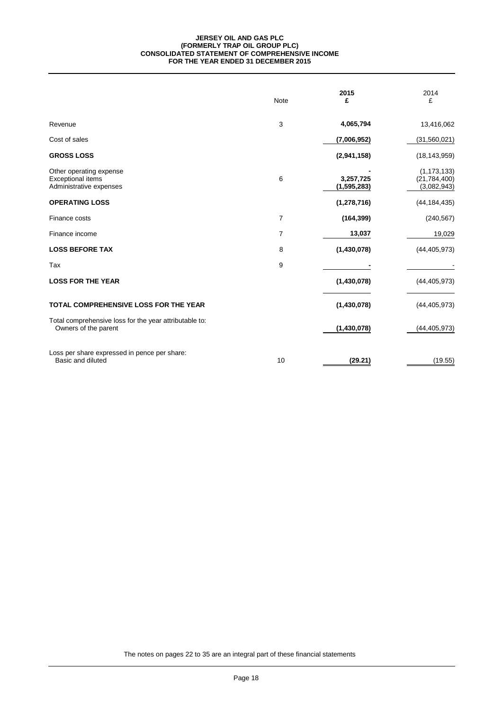### **JERSEY OIL AND GAS PLC (FORMERLY TRAP OIL GROUP PLC) CONSOLIDATED STATEMENT OF COMPREHENSIVE INCOME FOR THE YEAR ENDED 31 DECEMBER 2015**

|                                                                                | <b>Note</b> | 2015<br>£                  | 2014<br>£                                      |
|--------------------------------------------------------------------------------|-------------|----------------------------|------------------------------------------------|
| Revenue                                                                        | 3           | 4,065,794                  | 13,416,062                                     |
| Cost of sales                                                                  |             | (7,006,952)                | (31,560,021)                                   |
| <b>GROSS LOSS</b>                                                              |             | (2,941,158)                | (18, 143, 959)                                 |
| Other operating expense<br><b>Exceptional items</b><br>Administrative expenses | 6           | 3,257,725<br>(1, 595, 283) | (1, 173, 133)<br>(21, 784, 400)<br>(3,082,943) |
| <b>OPERATING LOSS</b>                                                          |             | (1, 278, 716)              | (44, 184, 435)                                 |
| Finance costs                                                                  | 7           | (164, 399)                 | (240, 567)                                     |
| Finance income                                                                 | 7           | 13,037                     | 19,029                                         |
| <b>LOSS BEFORE TAX</b>                                                         | 8           | (1,430,078)                | (44, 405, 973)                                 |
| Tax                                                                            | 9           |                            |                                                |
| <b>LOSS FOR THE YEAR</b>                                                       |             | (1,430,078)                | (44, 405, 973)                                 |
| TOTAL COMPREHENSIVE LOSS FOR THE YEAR                                          |             | (1,430,078)                | (44, 405, 973)                                 |
| Total comprehensive loss for the year attributable to:<br>Owners of the parent |             | (1,430,078)                | (44, 405, 973)                                 |
| Loss per share expressed in pence per share:<br>Basic and diluted              | 10          | (29.21)                    | (19.55)                                        |

The notes on pages 22 to 35 are an integral part of these financial statements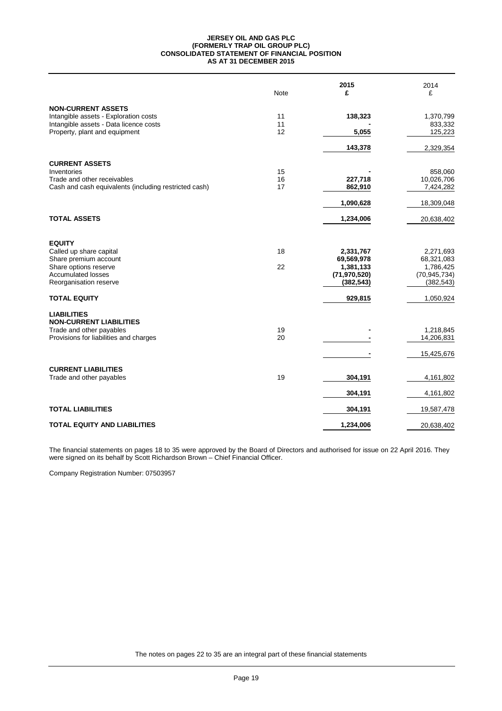### **JERSEY OIL AND GAS PLC (FORMERLY TRAP OIL GROUP PLC) CONSOLIDATED STATEMENT OF FINANCIAL POSITION AS AT 31 DECEMBER 2015**

|                                                                                                                                                                          | Note           | 2015<br>£                                                                       | 2014<br>£                                                                         |
|--------------------------------------------------------------------------------------------------------------------------------------------------------------------------|----------------|---------------------------------------------------------------------------------|-----------------------------------------------------------------------------------|
| <b>NON-CURRENT ASSETS</b><br>Intangible assets - Exploration costs<br>Intangible assets - Data licence costs<br>Property, plant and equipment                            | 11<br>11<br>12 | 138,323<br>5,055<br>143,378                                                     | 1,370,799<br>833,332<br>125,223<br>2,329,354                                      |
| <b>CURRENT ASSETS</b><br>Inventories<br>Trade and other receivables<br>Cash and cash equivalents (including restricted cash)                                             | 15<br>16<br>17 | 227,718<br>862,910<br>1,090,628                                                 | 858,060<br>10,026,706<br>7,424,282<br>18,309,048                                  |
| <b>TOTAL ASSETS</b>                                                                                                                                                      |                | 1,234,006                                                                       | 20,638,402                                                                        |
| <b>EQUITY</b><br>Called up share capital<br>Share premium account<br>Share options reserve<br><b>Accumulated losses</b><br>Reorganisation reserve<br><b>TOTAL EQUITY</b> | 18<br>22       | 2,331,767<br>69,569,978<br>1,381,133<br>(71, 970, 520)<br>(382, 543)<br>929,815 | 2,271,693<br>68,321,083<br>1,786,425<br>(70, 945, 734)<br>(382, 543)<br>1,050,924 |
| <b>LIABILITIES</b><br><b>NON-CURRENT LIABILITIES</b><br>Trade and other payables<br>Provisions for liabilities and charges                                               | 19<br>20       |                                                                                 | 1,218,845<br>14,206,831<br>15,425,676                                             |
| <b>CURRENT LIABILITIES</b><br>Trade and other payables                                                                                                                   | 19             | 304,191<br>304,191                                                              | 4,161,802<br>4, 161, 802                                                          |
| <b>TOTAL LIABILITIES</b>                                                                                                                                                 |                | 304,191                                                                         | 19,587,478                                                                        |
| <b>TOTAL EQUITY AND LIABILITIES</b>                                                                                                                                      |                | 1,234,006                                                                       | 20,638,402                                                                        |

The financial statements on pages 18 to 35 were approved by the Board of Directors and authorised for issue on 22 April 2016. They were signed on its behalf by Scott Richardson Brown – Chief Financial Officer.

Company Registration Number: 07503957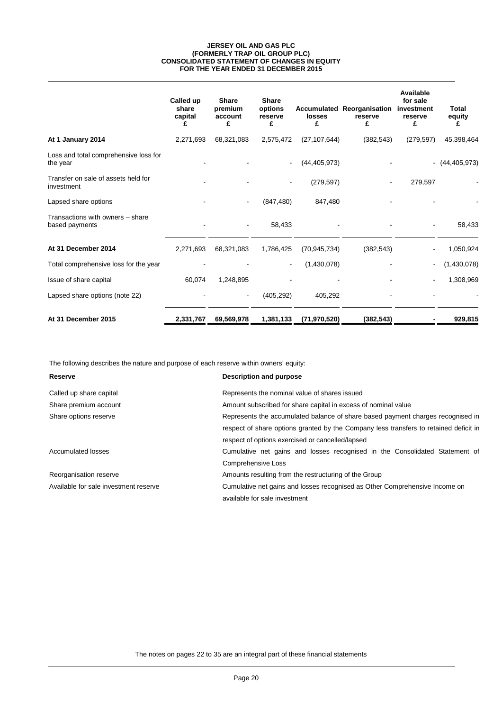### **JERSEY OIL AND GAS PLC (FORMERLY TRAP OIL GROUP PLC) CONSOLIDATED STATEMENT OF CHANGES IN EQUITY FOR THE YEAR ENDED 31 DECEMBER 2015**

|                                                    | Called up<br>share<br>capital<br>£ | <b>Share</b><br>premium<br>account<br>£ | <b>Share</b><br>options<br>reserve<br>£ | losses<br>£    | <b>Accumulated Reorganisation</b><br>reserve<br>£ | Available<br>for sale<br>investment<br>reserve<br>£ | Total<br>equity<br>£ |
|----------------------------------------------------|------------------------------------|-----------------------------------------|-----------------------------------------|----------------|---------------------------------------------------|-----------------------------------------------------|----------------------|
| At 1 January 2014                                  | 2,271,693                          | 68,321,083                              | 2,575,472                               | (27, 107, 644) | (382, 543)                                        | (279, 597)                                          | 45,398,464           |
| Loss and total comprehensive loss for<br>the year  |                                    |                                         |                                         | (44, 405, 973) |                                                   |                                                     | $-(44,405,973)$      |
| Transfer on sale of assets held for<br>investment  |                                    |                                         |                                         | (279, 597)     |                                                   | 279,597                                             |                      |
| Lapsed share options                               |                                    |                                         | (847, 480)                              | 847,480        |                                                   |                                                     |                      |
| Transactions with owners - share<br>based payments |                                    |                                         | 58,433                                  |                |                                                   |                                                     | 58,433               |
| At 31 December 2014                                | 2,271,693                          | 68,321,083                              | 1,786,425                               | (70, 945, 734) | (382, 543)                                        |                                                     | 1,050,924            |
| Total comprehensive loss for the year              |                                    |                                         |                                         | (1,430,078)    |                                                   |                                                     | (1,430,078)          |
| Issue of share capital                             | 60,074                             | 1,248,895                               |                                         |                |                                                   |                                                     | 1,308,969            |
| Lapsed share options (note 22)                     |                                    | $\sim$                                  | (405, 292)                              | 405,292        |                                                   |                                                     |                      |
| At 31 December 2015                                | 2,331,767                          | 69,569,978                              | 1,381,133                               | (71, 970, 520) | (382, 543)                                        |                                                     | 929,815              |

The following describes the nature and purpose of each reserve within owners' equity:

| <b>Reserve</b>                        | Description and purpose                                                               |
|---------------------------------------|---------------------------------------------------------------------------------------|
| Called up share capital               | Represents the nominal value of shares issued                                         |
| Share premium account                 | Amount subscribed for share capital in excess of nominal value                        |
| Share options reserve                 | Represents the accumulated balance of share based payment charges recognised in       |
|                                       | respect of share options granted by the Company less transfers to retained deficit in |
|                                       | respect of options exercised or cancelled/lapsed                                      |
| Accumulated losses                    | Cumulative net gains and losses recognised in the Consolidated Statement of           |
|                                       | Comprehensive Loss                                                                    |
| Reorganisation reserve                | Amounts resulting from the restructuring of the Group                                 |
| Available for sale investment reserve | Cumulative net gains and losses recognised as Other Comprehensive Income on           |
|                                       | available for sale investment                                                         |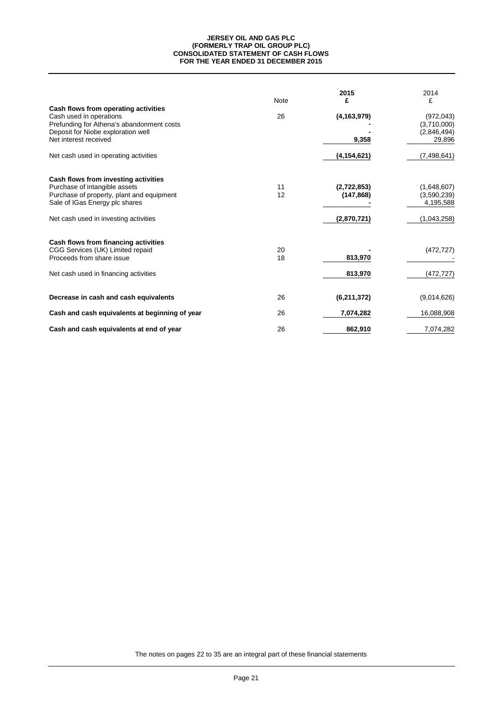### **JERSEY OIL AND GAS PLC (FORMERLY TRAP OIL GROUP PLC) CONSOLIDATED STATEMENT OF CASH FLOWS FOR THE YEAR ENDED 31 DECEMBER 2015**

|                                                                                                                                                                                               | Note     | 2015<br>£                                | 2014<br>£                                              |
|-----------------------------------------------------------------------------------------------------------------------------------------------------------------------------------------------|----------|------------------------------------------|--------------------------------------------------------|
| Cash flows from operating activities<br>Cash used in operations<br>Prefunding for Athena's abandonment costs<br>Deposit for Niobe exploration well<br>Net interest received                   | 26       | (4, 163, 979)<br>9,358                   | (972, 043)<br>(3,710,000)<br>(2,846,494)<br>29,896     |
| Net cash used in operating activities                                                                                                                                                         |          | (4, 154, 621)                            | (7, 498, 641)                                          |
| Cash flows from investing activities<br>Purchase of intangible assets<br>Purchase of property, plant and equipment<br>Sale of IGas Energy plc shares<br>Net cash used in investing activities | 11<br>12 | (2,722,853)<br>(147, 868)<br>(2,870,721) | (1,648,607)<br>(3,590,239)<br>4,195,588<br>(1,043,258) |
| Cash flows from financing activities<br>CGG Services (UK) Limited repaid<br>Proceeds from share issue<br>Net cash used in financing activities                                                | 20<br>18 | 813,970<br>813,970                       | (472, 727)<br>(472,727)                                |
| Decrease in cash and cash equivalents<br>Cash and cash equivalents at beginning of year                                                                                                       | 26<br>26 | (6,211,372)<br>7,074,282                 | (9,014,626)<br>16,088,908                              |
| Cash and cash equivalents at end of year                                                                                                                                                      | 26       | 862,910                                  | 7,074,282                                              |

The notes on pages 22 to 35 are an integral part of these financial statements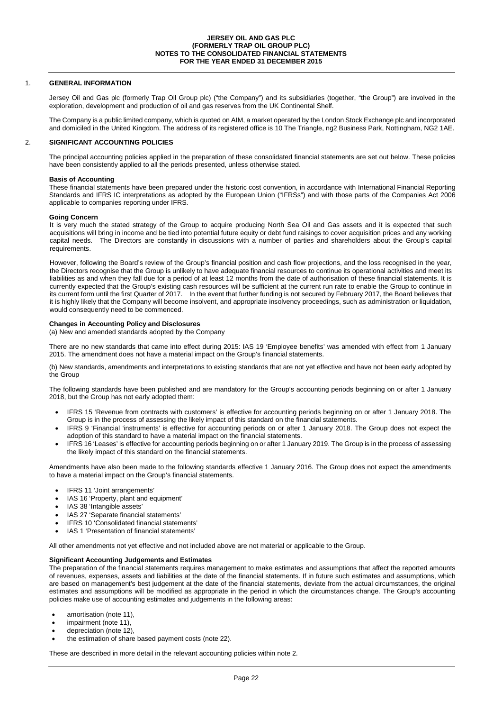## 1. **GENERAL INFORMATION**

Jersey Oil and Gas plc (formerly Trap Oil Group plc) ("the Company") and its subsidiaries (together, "the Group") are involved in the exploration, development and production of oil and gas reserves from the UK Continental Shelf.

The Company is a public limited company, which is quoted on AIM, a market operated by the London Stock Exchange plc and incorporated and domiciled in the United Kingdom. The address of its registered office is 10 The Triangle, ng2 Business Park, Nottingham, NG2 1AE.

## 2. **SIGNIFICANT ACCOUNTING POLICIES**

The principal accounting policies applied in the preparation of these consolidated financial statements are set out below. These policies have been consistently applied to all the periods presented, unless otherwise stated.

#### **Basis of Accounting**

These financial statements have been prepared under the historic cost convention, in accordance with International Financial Reporting Standards and IFRS IC interpretations as adopted by the European Union ("IFRSs") and with those parts of the Companies Act 2006 applicable to companies reporting under IFRS.

#### **Going Concern**

It is very much the stated strategy of the Group to acquire producing North Sea Oil and Gas assets and it is expected that such acquisitions will bring in income and be tied into potential future equity or debt fund raisings to cover acquisition prices and any working capital needs. The Directors are constantly in discussions with a number of parties and shareholders about the Group's capital requirements.

However, following the Board's review of the Group's financial position and cash flow projections, and the loss recognised in the year, the Directors recognise that the Group is unlikely to have adequate financial resources to continue its operational activities and meet its liabilities as and when they fall due for a period of at least 12 months from the date of authorisation of these financial statements. It is currently expected that the Group's existing cash resources will be sufficient at the current run rate to enable the Group to continue in its current form until the first Quarter of 2017. In the event that further funding is not secured by February 2017, the Board believes that it is highly likely that the Company will become insolvent, and appropriate insolvency proceedings, such as administration or liquidation, would consequently need to be commenced.

#### **Changes in Accounting Policy and Disclosures**

(a) New and amended standards adopted by the Company

There are no new standards that came into effect during 2015: IAS 19 'Employee benefits' was amended with effect from 1 January 2015. The amendment does not have a material impact on the Group's financial statements.

(b) New standards, amendments and interpretations to existing standards that are not yet effective and have not been early adopted by the Group

The following standards have been published and are mandatory for the Group's accounting periods beginning on or after 1 January 2018, but the Group has not early adopted them:

- IFRS 15 'Revenue from contracts with customers' is effective for accounting periods beginning on or after 1 January 2018. The Group is in the process of assessing the likely impact of this standard on the financial statements.
- IFRS 9 'Financial 'instruments' is effective for accounting periods on or after 1 January 2018. The Group does not expect the adoption of this standard to have a material impact on the financial statements.
- IFRS 16 'Leases' is effective for accounting periods beginning on or after 1 January 2019. The Group is in the process of assessing the likely impact of this standard on the financial statements.

Amendments have also been made to the following standards effective 1 January 2016. The Group does not expect the amendments to have a material impact on the Group's financial statements.

- IFRS 11 'Joint arrangements'
- IAS 16 'Property, plant and equipment'
- IAS 38 'Intangible assets'
- IAS 27 'Separate financial statements'
- IFRS 10 'Consolidated financial statements'
- IAS 1 'Presentation of financial statements'

All other amendments not yet effective and not included above are not material or applicable to the Group.

#### **Significant Accounting Judgements and Estimates**

The preparation of the financial statements requires management to make estimates and assumptions that affect the reported amounts of revenues, expenses, assets and liabilities at the date of the financial statements. If in future such estimates and assumptions, which are based on management's best judgement at the date of the financial statements, deviate from the actual circumstances, the original estimates and assumptions will be modified as appropriate in the period in which the circumstances change. The Group's accounting policies make use of accounting estimates and judgements in the following areas:

- amortisation (note 11),
- impairment (note 11),
- depreciation (note 12),
- the estimation of share based payment costs (note 22).

These are described in more detail in the relevant accounting policies within note 2.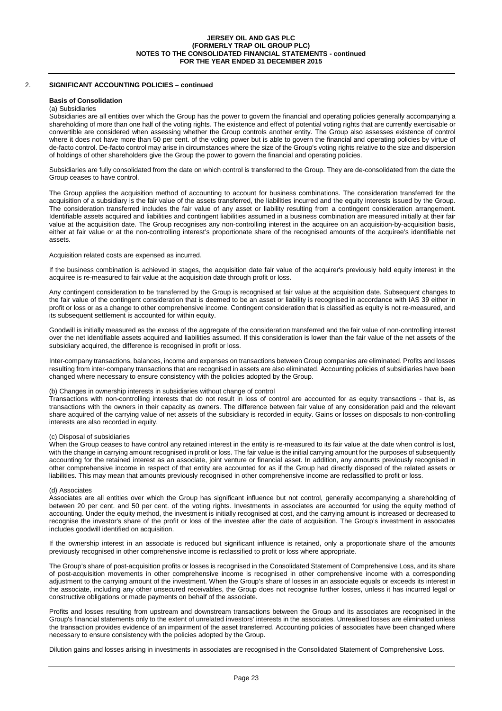#### **Basis of Consolidation**

## (a) Subsidiaries

Subsidiaries are all entities over which the Group has the power to govern the financial and operating policies generally accompanying a shareholding of more than one half of the voting rights. The existence and effect of potential voting rights that are currently exercisable or convertible are considered when assessing whether the Group controls another entity. The Group also assesses existence of control where it does not have more than 50 per cent. of the voting power but is able to govern the financial and operating policies by virtue of de-facto control. De-facto control may arise in circumstances where the size of the Group's voting rights relative to the size and dispersion of holdings of other shareholders give the Group the power to govern the financial and operating policies.

Subsidiaries are fully consolidated from the date on which control is transferred to the Group. They are de-consolidated from the date the Group ceases to have control.

The Group applies the acquisition method of accounting to account for business combinations. The consideration transferred for the acquisition of a subsidiary is the fair value of the assets transferred, the liabilities incurred and the equity interests issued by the Group. The consideration transferred includes the fair value of any asset or liability resulting from a contingent consideration arrangement. Identifiable assets acquired and liabilities and contingent liabilities assumed in a business combination are measured initially at their fair value at the acquisition date. The Group recognises any non-controlling interest in the acquiree on an acquisition-by-acquisition basis, either at fair value or at the non-controlling interest's proportionate share of the recognised amounts of the acquiree's identifiable net assets.

#### Acquisition related costs are expensed as incurred.

If the business combination is achieved in stages, the acquisition date fair value of the acquirer's previously held equity interest in the acquiree is re-measured to fair value at the acquisition date through profit or loss.

Any contingent consideration to be transferred by the Group is recognised at fair value at the acquisition date. Subsequent changes to the fair value of the contingent consideration that is deemed to be an asset or liability is recognised in accordance with IAS 39 either in profit or loss or as a change to other comprehensive income. Contingent consideration that is classified as equity is not re-measured, and its subsequent settlement is accounted for within equity.

Goodwill is initially measured as the excess of the aggregate of the consideration transferred and the fair value of non-controlling interest over the net identifiable assets acquired and liabilities assumed. If this consideration is lower than the fair value of the net assets of the subsidiary acquired, the difference is recognised in profit or loss.

Inter-company transactions, balances, income and expenses on transactions between Group companies are eliminated. Profits and losses resulting from inter-company transactions that are recognised in assets are also eliminated. Accounting policies of subsidiaries have been changed where necessary to ensure consistency with the policies adopted by the Group.

## (b) Changes in ownership interests in subsidiaries without change of control

Transactions with non-controlling interests that do not result in loss of control are accounted for as equity transactions - that is, as transactions with the owners in their capacity as owners. The difference between fair value of any consideration paid and the relevant share acquired of the carrying value of net assets of the subsidiary is recorded in equity. Gains or losses on disposals to non-controlling interests are also recorded in equity.

## (c) Disposal of subsidiaries

When the Group ceases to have control any retained interest in the entity is re-measured to its fair value at the date when control is lost, with the change in carrying amount recognised in profit or loss. The fair value is the initial carrying amount for the purposes of subsequently accounting for the retained interest as an associate, joint venture or financial asset. In addition, any amounts previously recognised in other comprehensive income in respect of that entity are accounted for as if the Group had directly disposed of the related assets or liabilities. This may mean that amounts previously recognised in other comprehensive income are reclassified to profit or loss.

#### (d) Associates

Associates are all entities over which the Group has significant influence but not control, generally accompanying a shareholding of between 20 per cent. and 50 per cent. of the voting rights. Investments in associates are accounted for using the equity method of accounting. Under the equity method, the investment is initially recognised at cost, and the carrying amount is increased or decreased to recognise the investor's share of the profit or loss of the investee after the date of acquisition. The Group's investment in associates includes goodwill identified on acquisition.

If the ownership interest in an associate is reduced but significant influence is retained, only a proportionate share of the amounts previously recognised in other comprehensive income is reclassified to profit or loss where appropriate.

The Group's share of post-acquisition profits or losses is recognised in the Consolidated Statement of Comprehensive Loss, and its share of post-acquisition movements in other comprehensive income is recognised in other comprehensive income with a corresponding adjustment to the carrying amount of the investment. When the Group's share of losses in an associate equals or exceeds its interest in the associate, including any other unsecured receivables, the Group does not recognise further losses, unless it has incurred legal or constructive obligations or made payments on behalf of the associate.

Profits and losses resulting from upstream and downstream transactions between the Group and its associates are recognised in the Group's financial statements only to the extent of unrelated investors' interests in the associates. Unrealised losses are eliminated unless the transaction provides evidence of an impairment of the asset transferred. Accounting policies of associates have been changed where necessary to ensure consistency with the policies adopted by the Group.

Dilution gains and losses arising in investments in associates are recognised in the Consolidated Statement of Comprehensive Loss.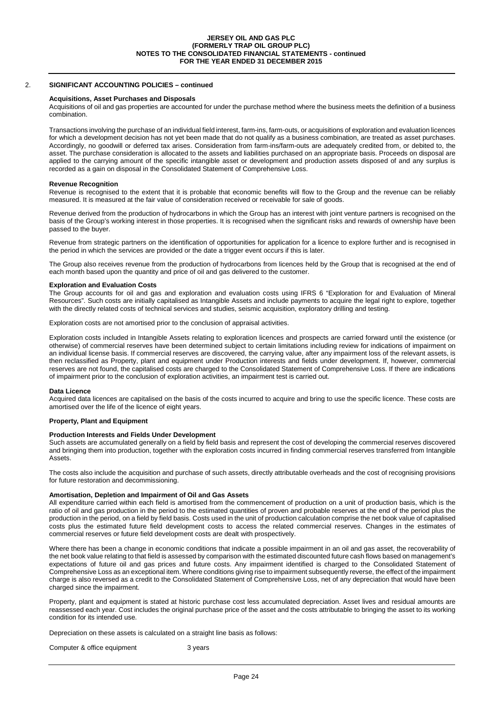#### **Acquisitions, Asset Purchases and Disposals**

Acquisitions of oil and gas properties are accounted for under the purchase method where the business meets the definition of a business combination.

Transactions involving the purchase of an individual field interest, farm-ins, farm-outs, or acquisitions of exploration and evaluation licences for which a development decision has not yet been made that do not qualify as a business combination, are treated as asset purchases. Accordingly, no goodwill or deferred tax arises. Consideration from farm-ins/farm-outs are adequately credited from, or debited to, the asset. The purchase consideration is allocated to the assets and liabilities purchased on an appropriate basis. Proceeds on disposal are applied to the carrying amount of the specific intangible asset or development and production assets disposed of and any surplus is recorded as a gain on disposal in the Consolidated Statement of Comprehensive Loss.

#### **Revenue Recognition**

Revenue is recognised to the extent that it is probable that economic benefits will flow to the Group and the revenue can be reliably measured. It is measured at the fair value of consideration received or receivable for sale of goods.

Revenue derived from the production of hydrocarbons in which the Group has an interest with joint venture partners is recognised on the basis of the Group's working interest in those properties. It is recognised when the significant risks and rewards of ownership have been passed to the buyer.

Revenue from strategic partners on the identification of opportunities for application for a licence to explore further and is recognised in the period in which the services are provided or the date a trigger event occurs if this is later.

The Group also receives revenue from the production of hydrocarbons from licences held by the Group that is recognised at the end of each month based upon the quantity and price of oil and gas delivered to the customer.

### **Exploration and Evaluation Costs**

The Group accounts for oil and gas and exploration and evaluation costs using IFRS 6 "Exploration for and Evaluation of Mineral Resources". Such costs are initially capitalised as Intangible Assets and include payments to acquire the legal right to explore, together with the directly related costs of technical services and studies, seismic acquisition, exploratory drilling and testing.

Exploration costs are not amortised prior to the conclusion of appraisal activities.

Exploration costs included in Intangible Assets relating to exploration licences and prospects are carried forward until the existence (or otherwise) of commercial reserves have been determined subject to certain limitations including review for indications of impairment on an individual license basis. If commercial reserves are discovered, the carrying value, after any impairment loss of the relevant assets, is then reclassified as Property, plant and equipment under Production interests and fields under development. If, however, commercial reserves are not found, the capitalised costs are charged to the Consolidated Statement of Comprehensive Loss. If there are indications of impairment prior to the conclusion of exploration activities, an impairment test is carried out.

## **Data Licence**

Acquired data licences are capitalised on the basis of the costs incurred to acquire and bring to use the specific licence. These costs are amortised over the life of the licence of eight years.

## **Property, Plant and Equipment**

## **Production Interests and Fields Under Development**

Such assets are accumulated generally on a field by field basis and represent the cost of developing the commercial reserves discovered and bringing them into production, together with the exploration costs incurred in finding commercial reserves transferred from Intangible Assets.

The costs also include the acquisition and purchase of such assets, directly attributable overheads and the cost of recognising provisions for future restoration and decommissioning.

## **Amortisation, Depletion and Impairment of Oil and Gas Assets**

All expenditure carried within each field is amortised from the commencement of production on a unit of production basis, which is the ratio of oil and gas production in the period to the estimated quantities of proven and probable reserves at the end of the period plus the production in the period, on a field by field basis. Costs used in the unit of production calculation comprise the net book value of capitalised costs plus the estimated future field development costs to access the related commercial reserves. Changes in the estimates of commercial reserves or future field development costs are dealt with prospectively.

Where there has been a change in economic conditions that indicate a possible impairment in an oil and gas asset, the recoverability of the net book value relating to that field is assessed by comparison with the estimated discounted future cash flows based on management's expectations of future oil and gas prices and future costs. Any impairment identified is charged to the Consolidated Statement of Comprehensive Loss as an exceptional item. Where conditions giving rise to impairment subsequently reverse, the effect of the impairment charge is also reversed as a credit to the Consolidated Statement of Comprehensive Loss, net of any depreciation that would have been charged since the impairment.

Property, plant and equipment is stated at historic purchase cost less accumulated depreciation. Asset lives and residual amounts are reassessed each year. Cost includes the original purchase price of the asset and the costs attributable to bringing the asset to its working condition for its intended use.

Depreciation on these assets is calculated on a straight line basis as follows:

Computer & office equipment 3 years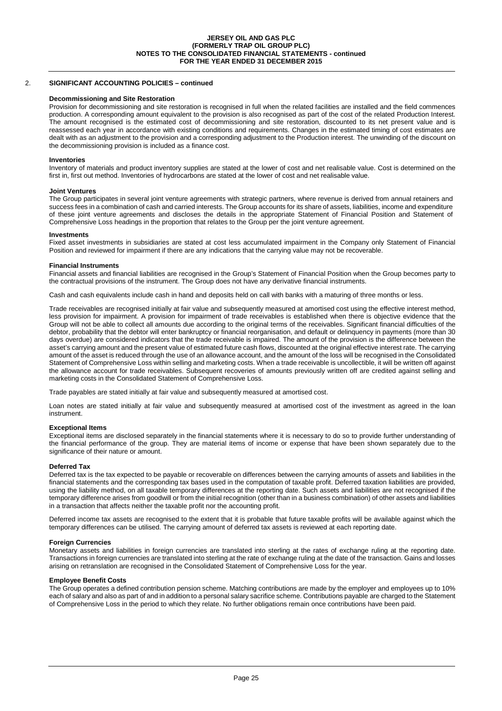#### **Decommissioning and Site Restoration**

Provision for decommissioning and site restoration is recognised in full when the related facilities are installed and the field commences production. A corresponding amount equivalent to the provision is also recognised as part of the cost of the related Production Interest. The amount recognised is the estimated cost of decommissioning and site restoration, discounted to its net present value and is reassessed each year in accordance with existing conditions and requirements. Changes in the estimated timing of cost estimates are dealt with as an adjustment to the provision and a corresponding adjustment to the Production interest. The unwinding of the discount on the decommissioning provision is included as a finance cost.

#### **Inventories**

Inventory of materials and product inventory supplies are stated at the lower of cost and net realisable value. Cost is determined on the first in, first out method. Inventories of hydrocarbons are stated at the lower of cost and net realisable value.

### **Joint Ventures**

The Group participates in several joint venture agreements with strategic partners, where revenue is derived from annual retainers and success fees in a combination of cash and carried interests. The Group accounts for its share of assets, liabilities, income and expenditure of these joint venture agreements and discloses the details in the appropriate Statement of Financial Position and Statement of Comprehensive Loss headings in the proportion that relates to the Group per the joint venture agreement.

#### **Investments**

Fixed asset investments in subsidiaries are stated at cost less accumulated impairment in the Company only Statement of Financial Position and reviewed for impairment if there are any indications that the carrying value may not be recoverable.

#### **Financial Instruments**

Financial assets and financial liabilities are recognised in the Group's Statement of Financial Position when the Group becomes party to the contractual provisions of the instrument. The Group does not have any derivative financial instruments.

Cash and cash equivalents include cash in hand and deposits held on call with banks with a maturing of three months or less.

Trade receivables are recognised initially at fair value and subsequently measured at amortised cost using the effective interest method, less provision for impairment. A provision for impairment of trade receivables is established when there is objective evidence that the Group will not be able to collect all amounts due according to the original terms of the receivables. Significant financial difficulties of the debtor, probability that the debtor will enter bankruptcy or financial reorganisation, and default or delinquency in payments (more than 30 days overdue) are considered indicators that the trade receivable is impaired. The amount of the provision is the difference between the asset's carrying amount and the present value of estimated future cash flows, discounted at the original effective interest rate. The carrying amount of the asset is reduced through the use of an allowance account, and the amount of the loss will be recognised in the Consolidated Statement of Comprehensive Loss within selling and marketing costs. When a trade receivable is uncollectible, it will be written off against the allowance account for trade receivables. Subsequent recoveries of amounts previously written off are credited against selling and marketing costs in the Consolidated Statement of Comprehensive Loss.

Trade payables are stated initially at fair value and subsequently measured at amortised cost.

Loan notes are stated initially at fair value and subsequently measured at amortised cost of the investment as agreed in the loan instrument.

#### **Exceptional Items**

Exceptional items are disclosed separately in the financial statements where it is necessary to do so to provide further understanding of the financial performance of the group. They are material items of income or expense that have been shown separately due to the significance of their nature or amount.

#### **Deferred Tax**

Deferred tax is the tax expected to be payable or recoverable on differences between the carrying amounts of assets and liabilities in the financial statements and the corresponding tax bases used in the computation of taxable profit. Deferred taxation liabilities are provided, using the liability method, on all taxable temporary differences at the reporting date. Such assets and liabilities are not recognised if the temporary difference arises from goodwill or from the initial recognition (other than in a business combination) of other assets and liabilities in a transaction that affects neither the taxable profit nor the accounting profit.

Deferred income tax assets are recognised to the extent that it is probable that future taxable profits will be available against which the temporary differences can be utilised. The carrying amount of deferred tax assets is reviewed at each reporting date.

#### **Foreign Currencies**

Monetary assets and liabilities in foreign currencies are translated into sterling at the rates of exchange ruling at the reporting date. Transactions in foreign currencies are translated into sterling at the rate of exchange ruling at the date of the transaction. Gains and losses arising on retranslation are recognised in the Consolidated Statement of Comprehensive Loss for the year.

#### **Employee Benefit Costs**

The Group operates a defined contribution pension scheme. Matching contributions are made by the employer and employees up to 10% each of salary and also as part of and in addition to a personal salary sacrifice scheme. Contributions payable are charged to the Statement of Comprehensive Loss in the period to which they relate. No further obligations remain once contributions have been paid.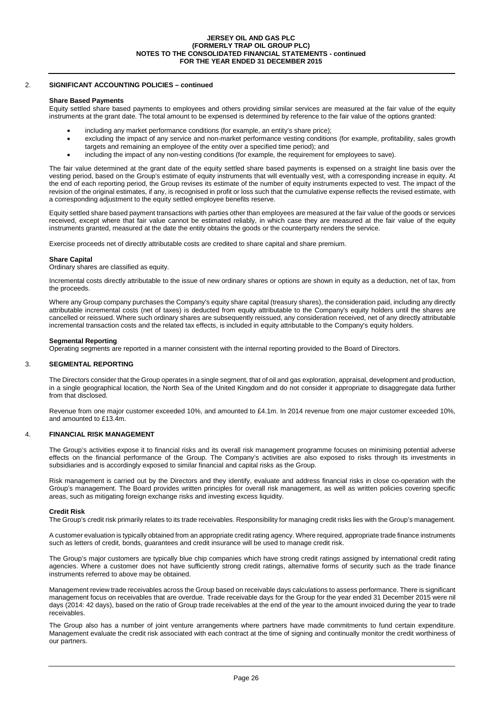#### **Share Based Payments**

Equity settled share based payments to employees and others providing similar services are measured at the fair value of the equity instruments at the grant date. The total amount to be expensed is determined by reference to the fair value of the options granted:

- including any market performance conditions (for example, an entity's share price);
- excluding the impact of any service and non-market performance vesting conditions (for example, profitability, sales growth targets and remaining an employee of the entity over a specified time period); and
- including the impact of any non-vesting conditions (for example, the requirement for employees to save).

The fair value determined at the grant date of the equity settled share based payments is expensed on a straight line basis over the vesting period, based on the Group's estimate of equity instruments that will eventually vest, with a corresponding increase in equity. At the end of each reporting period, the Group revises its estimate of the number of equity instruments expected to vest. The impact of the revision of the original estimates, if any, is recognised in profit or loss such that the cumulative expense reflects the revised estimate, with a corresponding adjustment to the equity settled employee benefits reserve.

Equity settled share based payment transactions with parties other than employees are measured at the fair value of the goods or services received, except where that fair value cannot be estimated reliably, in which case they are measured at the fair value of the equity instruments granted, measured at the date the entity obtains the goods or the counterparty renders the service.

Exercise proceeds net of directly attributable costs are credited to share capital and share premium.

#### **Share Capital**

Ordinary shares are classified as equity.

Incremental costs directly attributable to the issue of new ordinary shares or options are shown in equity as a deduction, net of tax, from the proceeds.

Where any Group company purchases the Company's equity share capital (treasury shares), the consideration paid, including any directly attributable incremental costs (net of taxes) is deducted from equity attributable to the Company's equity holders until the shares are cancelled or reissued. Where such ordinary shares are subsequently reissued, any consideration received, net of any directly attributable incremental transaction costs and the related tax effects, is included in equity attributable to the Company's equity holders.

### **Segmental Reporting**

Operating segments are reported in a manner consistent with the internal reporting provided to the Board of Directors.

### 3. **SEGMENTAL REPORTING**

The Directors consider that the Group operates in a single segment, that of oil and gas exploration, appraisal, development and production, in a single geographical location, the North Sea of the United Kingdom and do not consider it appropriate to disaggregate data further from that disclosed.

Revenue from one major customer exceeded 10%, and amounted to £4.1m. In 2014 revenue from one major customer exceeded 10%, and amounted to £13.4m.

## 4. **FINANCIAL RISK MANAGEMENT**

The Group's activities expose it to financial risks and its overall risk management programme focuses on minimising potential adverse effects on the financial performance of the Group. The Company's activities are also exposed to risks through its investments in subsidiaries and is accordingly exposed to similar financial and capital risks as the Group.

Risk management is carried out by the Directors and they identify, evaluate and address financial risks in close co-operation with the Group's management. The Board provides written principles for overall risk management, as well as written policies covering specific areas, such as mitigating foreign exchange risks and investing excess liquidity.

### **Credit Risk**

The Group's credit risk primarily relates to its trade receivables. Responsibility for managing credit risks lies with the Group's management.

A customer evaluation is typically obtained from an appropriate credit rating agency. Where required, appropriate trade finance instruments such as letters of credit, bonds, guarantees and credit insurance will be used to manage credit risk.

The Group's major customers are typically blue chip companies which have strong credit ratings assigned by international credit rating agencies. Where a customer does not have sufficiently strong credit ratings, alternative forms of security such as the trade finance instruments referred to above may be obtained.

Management review trade receivables across the Group based on receivable days calculations to assess performance. There is significant management focus on receivables that are overdue. Trade receivable days for the Group for the year ended 31 December 2015 were nil days (2014: 42 days), based on the ratio of Group trade receivables at the end of the year to the amount invoiced during the year to trade receivables.

The Group also has a number of joint venture arrangements where partners have made commitments to fund certain expenditure. Management evaluate the credit risk associated with each contract at the time of signing and continually monitor the credit worthiness of our partners.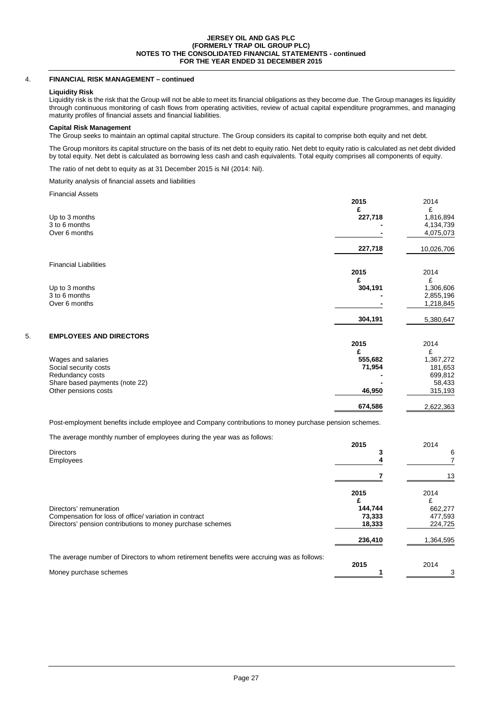## 4. **FINANCIAL RISK MANAGEMENT – continued**

### **Liquidity Risk**

Liquidity risk is the risk that the Group will not be able to meet its financial obligations as they become due. The Group manages its liquidity through continuous monitoring of cash flows from operating activities, review of actual capital expenditure programmes, and managing maturity profiles of financial assets and financial liabilities.

## **Capital Risk Management**

The Group seeks to maintain an optimal capital structure. The Group considers its capital to comprise both equity and net debt.

The Group monitors its capital structure on the basis of its net debt to equity ratio. Net debt to equity ratio is calculated as net debt divided by total equity. Net debt is calculated as borrowing less cash and cash equivalents. Total equity comprises all components of equity.

The ratio of net debt to equity as at 31 December 2015 is Nil (2014: Nil).

Maturity analysis of financial assets and liabilities

|    |                                                                                                        | 2015<br>£ | 2014<br>£         |
|----|--------------------------------------------------------------------------------------------------------|-----------|-------------------|
|    | Up to 3 months                                                                                         | 227,718   | 1,816,894         |
|    | 3 to 6 months                                                                                          |           | 4,134,739         |
|    | Over 6 months                                                                                          |           | 4,075,073         |
|    |                                                                                                        | 227,718   | 10,026,706        |
|    | <b>Financial Liabilities</b>                                                                           |           |                   |
|    |                                                                                                        | 2015<br>£ | 2014<br>£         |
|    | Up to 3 months                                                                                         | 304,191   | 1,306,606         |
|    | 3 to 6 months                                                                                          |           | 2,855,196         |
|    | Over 6 months                                                                                          |           | 1,218,845         |
|    |                                                                                                        | 304,191   | 5,380,647         |
| 5. | <b>EMPLOYEES AND DIRECTORS</b>                                                                         |           |                   |
|    |                                                                                                        | 2015      | 2014              |
|    |                                                                                                        | £         | £                 |
|    | Wages and salaries                                                                                     | 555,682   | 1,367,272         |
|    | Social security costs                                                                                  | 71,954    | 181,653           |
|    | Redundancy costs                                                                                       |           | 699,812           |
|    | Share based payments (note 22)<br>Other pensions costs                                                 | 46,950    | 58,433<br>315,193 |
|    |                                                                                                        |           |                   |
|    |                                                                                                        | 674,586   | 2,622,363         |
|    | Post-employment benefits include employee and Company contributions to money purchase pension schemes. |           |                   |
|    | The average monthly number of employees during the year was as follows:                                | 2015      | 2014              |
|    | <b>Directors</b>                                                                                       | 3         | 6                 |
|    | Employees                                                                                              | 4         | $\overline{7}$    |
|    |                                                                                                        |           |                   |
|    |                                                                                                        | 7         | 13                |
|    |                                                                                                        | 2015      | 2014              |
|    |                                                                                                        | £         | £                 |
|    | Directors' remuneration                                                                                | 144,744   | 662,277           |
|    | Compensation for loss of office/ variation in contract                                                 | 73,333    | 477,593           |
|    | Directors' pension contributions to money purchase schemes                                             | 18,333    | 224,725           |
|    |                                                                                                        | 236,410   | 1,364,595         |
|    |                                                                                                        |           |                   |

Money purchase schemes **1** 3

**2015** 2014

The average number of Directors to whom retirement benefits were accruing was as follows: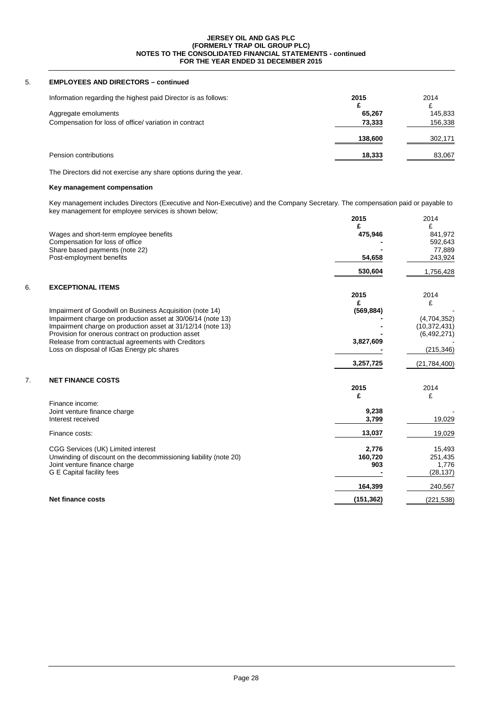## 5. **EMPLOYEES AND DIRECTORS – continued**

| Information regarding the highest paid Director is as follows: | 2015    | 2014    |
|----------------------------------------------------------------|---------|---------|
| Aggregate emoluments                                           | 65.267  | 145,833 |
| Compensation for loss of office/ variation in contract         | 73,333  | 156,338 |
|                                                                | 138.600 | 302.171 |
| Pension contributions                                          | 18,333  | 83,067  |

The Directors did not exercise any share options during the year.

## **Key management compensation**

Key management includes Directors (Executive and Non-Executive) and the Company Secretary. The compensation paid or payable to key management for employee services is shown below;

|    |                                                                                                  | 2015         | 2014           |
|----|--------------------------------------------------------------------------------------------------|--------------|----------------|
|    | Wages and short-term employee benefits                                                           | £<br>475,946 | £<br>841,972   |
|    | Compensation for loss of office                                                                  |              | 592,643        |
|    | Share based payments (note 22)                                                                   |              | 77,889         |
|    | Post-employment benefits                                                                         | 54,658       | 243,924        |
|    |                                                                                                  | 530,604      | 1,756,428      |
| 6. | <b>EXCEPTIONAL ITEMS</b>                                                                         |              |                |
|    |                                                                                                  | 2015         | 2014           |
|    |                                                                                                  | £            | £              |
|    | Impairment of Goodwill on Business Acquisition (note 14)                                         | (569, 884)   |                |
|    | Impairment charge on production asset at 30/06/14 (note 13)                                      |              | (4,704,352)    |
|    | Impairment charge on production asset at 31/12/14 (note 13)                                      |              | (10, 372, 431) |
|    | Provision for onerous contract on production asset                                               |              | (6,492,271)    |
|    | Release from contractual agreements with Creditors<br>Loss on disposal of IGas Energy plc shares | 3,827,609    | (215, 346)     |
|    |                                                                                                  | 3,257,725    | (21, 784, 400) |
| 7. | <b>NET FINANCE COSTS</b>                                                                         |              |                |
|    |                                                                                                  | 2015         | 2014           |
|    |                                                                                                  | £            | £              |
|    | Finance income:                                                                                  |              |                |
|    | Joint venture finance charge                                                                     | 9,238        |                |
|    | Interest received                                                                                | 3,799        | 19,029         |
|    | Finance costs:                                                                                   | 13,037       | 19,029         |
|    | CGG Services (UK) Limited interest                                                               | 2,776        | 15,493         |
|    | Unwinding of discount on the decommissioning liability (note 20)                                 | 160,720      | 251,435        |
|    | Joint venture finance charge                                                                     | 903          | 1,776          |
|    | G E Capital facility fees                                                                        |              | (28, 137)      |
|    |                                                                                                  | 164,399      | 240,567        |
|    | <b>Net finance costs</b>                                                                         | (151, 362)   | (221, 538)     |
|    |                                                                                                  |              |                |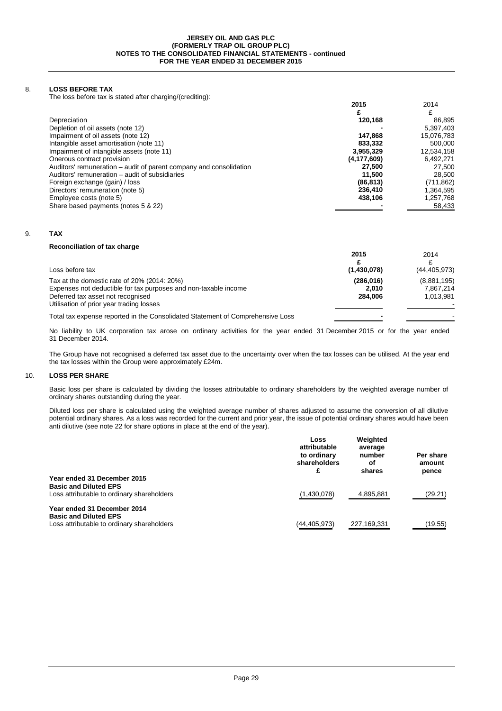## 8. **LOSS BEFORE TAX**

The loss before tax is stated after charging/(crediting):

|                                                                    | 2015          | 2014       |
|--------------------------------------------------------------------|---------------|------------|
|                                                                    |               |            |
| Depreciation                                                       | 120,168       | 86.895     |
| Depletion of oil assets (note 12)                                  |               | 5,397,403  |
| Impairment of oil assets (note 12)                                 | 147,868       | 15,076,783 |
| Intangible asset amortisation (note 11)                            | 833.332       | 500,000    |
| Impairment of intangible assets (note 11)                          | 3,955,329     | 12,534,158 |
| Onerous contract provision                                         | (4, 177, 609) | 6,492,271  |
| Auditors' remuneration – audit of parent company and consolidation | 27.500        | 27.500     |
| Auditors' remuneration - audit of subsidiaries                     | 11.500        | 28.500     |
| Foreign exchange (gain) / loss                                     | (86, 813)     | (711, 862) |
| Directors' remuneration (note 5)                                   | 236,410       | 1,364,595  |
| Employee costs (note 5)                                            | 438,106       | 1,257,768  |
| Share based payments (notes 5 & 22)                                |               | 58,433     |

## 9. **TAX**

### **Reconciliation of tax charge**

| Loss before tax                                                                                                                                                                                 | 2015<br>(1,430,078)            | 2014<br>(44, 405, 973)                |
|-------------------------------------------------------------------------------------------------------------------------------------------------------------------------------------------------|--------------------------------|---------------------------------------|
| Tax at the domestic rate of 20% (2014: 20%)<br>Expenses not deductible for tax purposes and non-taxable income<br>Deferred tax asset not recognised<br>Utilisation of prior year trading losses | (286, 016)<br>2.010<br>284.006 | (8,881,195)<br>7.867.214<br>1.013.981 |
| Total tax expense reported in the Consolidated Statement of Comprehensive Loss                                                                                                                  |                                |                                       |

No liability to UK corporation tax arose on ordinary activities for the year ended 31 December 2015 or for the year ended 31 December 2014.

The Group have not recognised a deferred tax asset due to the uncertainty over when the tax losses can be utilised. At the year end the tax losses within the Group were approximately £24m.

# 10. **LOSS PER SHARE**

Basic loss per share is calculated by dividing the losses attributable to ordinary shareholders by the weighted average number of ordinary shares outstanding during the year.

Diluted loss per share is calculated using the weighted average number of shares adjusted to assume the conversion of all dilutive potential ordinary shares. As a loss was recorded for the current and prior year, the issue of potential ordinary shares would have been anti dilutive (see note 22 for share options in place at the end of the year).

|                                                                                                           | Loss<br>attributable<br>to ordinary<br>shareholders<br>£ | Weighted<br>average<br>number<br>οf<br>shares | Per share<br>amount<br>pence |
|-----------------------------------------------------------------------------------------------------------|----------------------------------------------------------|-----------------------------------------------|------------------------------|
| Year ended 31 December 2015<br><b>Basic and Diluted EPS</b><br>Loss attributable to ordinary shareholders | (1,430,078)                                              | 4,895,881                                     | (29.21)                      |
| Year ended 31 December 2014<br><b>Basic and Diluted EPS</b><br>Loss attributable to ordinary shareholders | (44,405,973)                                             | 227,169,331                                   | (19.55)                      |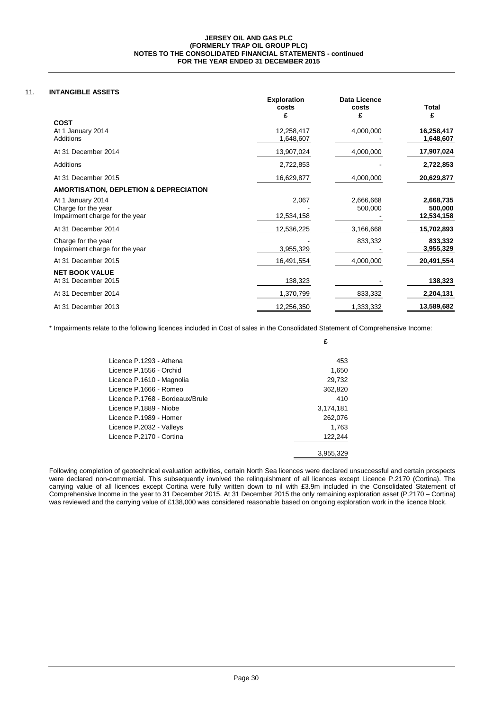## 11. **INTANGIBLE ASSETS**

|                                                                            | <b>Exploration</b><br>costs<br>£ | <b>Data Licence</b><br>costs<br>£ | <b>Total</b><br>£                  |
|----------------------------------------------------------------------------|----------------------------------|-----------------------------------|------------------------------------|
| <b>COST</b><br>At 1 January 2014<br>Additions                              | 12,258,417<br>1,648,607          | 4,000,000                         | 16,258,417<br>1,648,607            |
| At 31 December 2014                                                        | 13,907,024                       | 4,000,000                         | 17,907,024                         |
| <b>Additions</b>                                                           | 2,722,853                        |                                   | 2,722,853                          |
| At 31 December 2015                                                        | 16,629,877                       | 4,000,000                         | 20,629,877                         |
| <b>AMORTISATION, DEPLETION &amp; DEPRECIATION</b>                          |                                  |                                   |                                    |
| At 1 January 2014<br>Charge for the year<br>Impairment charge for the year | 2,067<br>12,534,158              | 2,666,668<br>500,000              | 2,668,735<br>500,000<br>12,534,158 |
| At 31 December 2014                                                        | 12,536,225                       | 3,166,668                         | 15,702,893                         |
| Charge for the year<br>Impairment charge for the year                      | 3,955,329                        | 833,332                           | 833,332<br>3,955,329               |
| At 31 December 2015                                                        | 16,491,554                       | 4,000,000                         | 20,491,554                         |
| <b>NET BOOK VALUE</b><br>At 31 December 2015                               | 138,323                          |                                   | 138,323                            |
| At 31 December 2014                                                        | 1,370,799                        | 833,332                           | 2,204,131                          |
| At 31 December 2013                                                        | 12,256,350                       | 1,333,332                         | 13,589,682                         |

\* Impairments relate to the following licences included in Cost of sales in the Consolidated Statement of Comprehensive Income:

|                                 | £         |
|---------------------------------|-----------|
| Licence P.1293 - Athena         | 453       |
| Licence P.1556 - Orchid         | 1,650     |
| Licence P.1610 - Magnolia       | 29,732    |
| Licence P.1666 - Romeo          | 362,820   |
| Licence P.1768 - Bordeaux/Brule | 410       |
| Licence P.1889 - Niobe          | 3,174,181 |
| Licence P.1989 - Homer          | 262,076   |
| Licence P.2032 - Valleys        | 1,763     |
| Licence P.2170 - Cortina        | 122,244   |
|                                 | 3,955,329 |

Following completion of geotechnical evaluation activities, certain North Sea licences were declared unsuccessful and certain prospects were declared non-commercial. This subsequently involved the relinquishment of all licences except Licence P.2170 (Cortina). The carrying value of all licences except Cortina were fully written down to nil with £3.9m included in the Consolidated Statement of Comprehensive Income in the year to 31 December 2015. At 31 December 2015 the only remaining exploration asset (P.2170 – Cortina) was reviewed and the carrying value of £138,000 was considered reasonable based on ongoing exploration work in the licence block.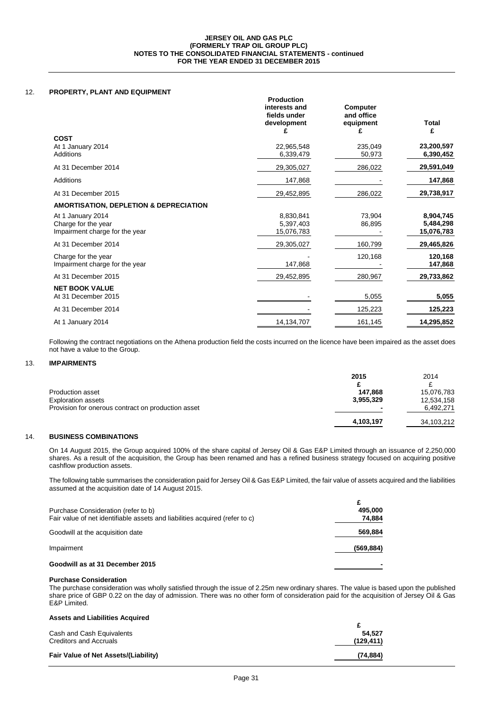## 12. **PROPERTY, PLANT AND EQUIPMENT**

| $1001$ can $1, 1$ can $1, 1$ can be commented                              | <b>Production</b><br>interests and<br>fields under<br>development<br>£ | <b>Computer</b><br>and office<br>equipment<br>£ | <b>Total</b><br>£                    |
|----------------------------------------------------------------------------|------------------------------------------------------------------------|-------------------------------------------------|--------------------------------------|
| <b>COST</b><br>At 1 January 2014<br><b>Additions</b>                       | 22,965,548<br>6,339,479                                                | 235,049<br>50,973                               | 23,200,597<br>6,390,452              |
| At 31 December 2014                                                        | 29,305,027                                                             | 286,022                                         | 29,591,049                           |
| Additions                                                                  | 147,868                                                                |                                                 | 147,868                              |
| At 31 December 2015                                                        | 29,452,895                                                             | 286,022                                         | 29,738,917                           |
| <b>AMORTISATION, DEPLETION &amp; DEPRECIATION</b>                          |                                                                        |                                                 |                                      |
| At 1 January 2014<br>Charge for the year<br>Impairment charge for the year | 8.830.841<br>5,397,403<br>15,076,783                                   | 73.904<br>86,895                                | 8,904,745<br>5,484,298<br>15,076,783 |
| At 31 December 2014                                                        | 29,305,027                                                             | 160,799                                         | 29,465,826                           |
| Charge for the year<br>Impairment charge for the year                      | 147,868                                                                | 120,168                                         | 120,168<br>147,868                   |
| At 31 December 2015                                                        | 29,452,895                                                             | 280,967                                         | 29,733,862                           |
| <b>NET BOOK VALUE</b><br>At 31 December 2015                               |                                                                        | 5,055                                           | 5,055                                |
| At 31 December 2014                                                        |                                                                        | 125,223                                         | 125,223                              |
| At 1 January 2014                                                          | 14,134,707                                                             | 161,145                                         | 14,295,852                           |

Following the contract negotiations on the Athena production field the costs incurred on the licence have been impaired as the asset does not have a value to the Group.

## 13. **IMPAIRMENTS**

|                                                    | 2015                     | 2014       |
|----------------------------------------------------|--------------------------|------------|
| <b>Production asset</b>                            | 147.868                  | 15,076,783 |
| <b>Exploration assets</b>                          | 3,955,329                | 12,534,158 |
| Provision for onerous contract on production asset | $\overline{\phantom{a}}$ | 6,492,271  |
|                                                    | 4,103,197                | 34,103,212 |

## 14. **BUSINESS COMBINATIONS**

On 14 August 2015, the Group acquired 100% of the share capital of Jersey Oil & Gas E&P Limited through an issuance of 2,250,000 shares. As a result of the acquisition, the Group has been renamed and has a refined business strategy focused on acquiring positive cashflow production assets.

The following table summarises the consideration paid for Jersey Oil & Gas E&P Limited, the fair value of assets acquired and the liabilities assumed at the acquisition date of 14 August 2015.

| Purchase Consideration (refer to b)<br>Fair value of net identifiable assets and liabilities acquired (refer to c) | 495.000<br>74,884 |
|--------------------------------------------------------------------------------------------------------------------|-------------------|
| Goodwill at the acquisition date                                                                                   | 569,884           |
| Impairment                                                                                                         | (569, 884)        |
| Goodwill as at 31 December 2015                                                                                    |                   |

#### **Purchase Consideration**

The purchase consideration was wholly satisfied through the issue of 2.25m new ordinary shares. The value is based upon the published share price of GBP 0.22 on the day of admission. There was no other form of consideration paid for the acquisition of Jersey Oil & Gas E&P Limited.

| <b>Assets and Liabilities Acquired</b> |            |  |
|----------------------------------------|------------|--|
|                                        |            |  |
| Cash and Cash Equivalents              | 54.527     |  |
| Creditors and Accruals                 | (129, 411) |  |
| Fair Value of Net Assets/(Liability)   | (74, 884)  |  |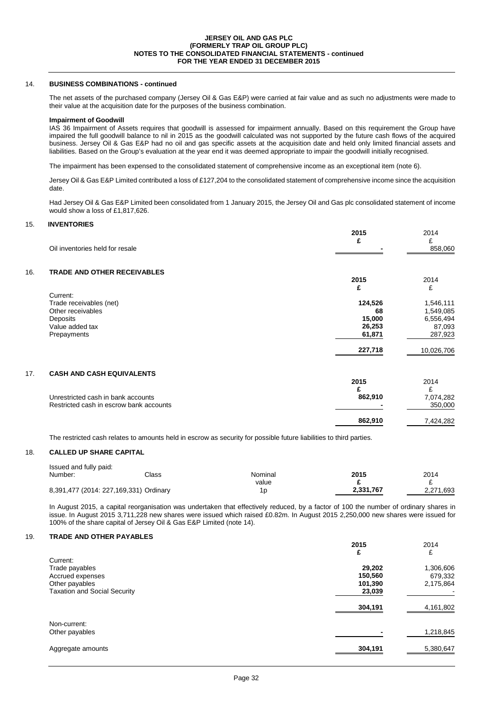## 14. **BUSINESS COMBINATIONS - continued**

The net assets of the purchased company (Jersey Oil & Gas E&P) were carried at fair value and as such no adjustments were made to their value at the acquisition date for the purposes of the business combination.

## **Impairment of Goodwill**

IAS 36 Impairment of Assets requires that goodwill is assessed for impairment annually. Based on this requirement the Group have impaired the full goodwill balance to nil in 2015 as the goodwill calculated was not supported by the future cash flows of the acquired business. Jersey Oil & Gas E&P had no oil and gas specific assets at the acquisition date and held only limited financial assets and liabilities. Based on the Group's evaluation at the year end it was deemed appropriate to impair the goodwill initially recognised.

The impairment has been expensed to the consolidated statement of comprehensive income as an exceptional item (note 6).

Jersey Oil & Gas E&P Limited contributed a loss of £127,204 to the consolidated statement of comprehensive income since the acquisition date.

Had Jersey Oil & Gas E&P Limited been consolidated from 1 January 2015, the Jersey Oil and Gas plc consolidated statement of income would show a loss of £1,817,626.

## 15. **INVENTORIES**

|     | Oil inventories held for resale         | 2015<br>£ | 2014<br>£<br>858,060 |
|-----|-----------------------------------------|-----------|----------------------|
| 16. | <b>TRADE AND OTHER RECEIVABLES</b>      |           |                      |
|     |                                         | 2015<br>£ | 2014                 |
|     | Current:                                |           | £                    |
|     | Trade receivables (net)                 | 124,526   | 1,546,111            |
|     | Other receivables                       | 68        | 1,549,085            |
|     | Deposits                                | 15,000    | 6,556,494            |
|     | Value added tax                         | 26,253    | 87,093               |
|     | Prepayments                             | 61,871    | 287,923              |
|     |                                         | 227,718   | 10,026,706           |
| 17. | <b>CASH AND CASH EQUIVALENTS</b>        |           |                      |
|     |                                         | 2015      | 2014                 |
|     |                                         | £         | £                    |
|     | Unrestricted cash in bank accounts      | 862,910   | 7,074,282            |
|     | Restricted cash in escrow bank accounts |           | 350,000              |
|     |                                         | 862,910   | 7,424,282            |
|     |                                         |           |                      |

The restricted cash relates to amounts held in escrow as security for possible future liabilities to third parties.

## 18. **CALLED UP SHARE CAPITAL**

| Issued and fully paid:                 |       |         |           |           |
|----------------------------------------|-------|---------|-----------|-----------|
| Number:                                | Class | Nominal | 2015      | 2014      |
|                                        |       | value   |           |           |
| 8,391,477 (2014: 227,169,331) Ordinary |       |         | 2,331,767 | 2,271,693 |

In August 2015, a capital reorganisation was undertaken that effectively reduced, by a factor of 100 the number of ordinary shares in issue. In August 2015 3,711,228 new shares were issued which raised £0.82m. In August 2015 2,250,000 new shares were issued for 100% of the share capital of Jersey Oil & Gas E&P Limited (note 14).

## 19. **TRADE AND OTHER PAYABLES**

| 2015    | 2014<br>£ |
|---------|-----------|
|         |           |
| 29,202  | 1,306,606 |
| 150,560 | 679,332   |
| 101,390 | 2,175,864 |
| 23,039  |           |
| 304,191 | 4,161,802 |
|         |           |
|         | 1,218,845 |
| 304,191 | 5,380,647 |
|         | £         |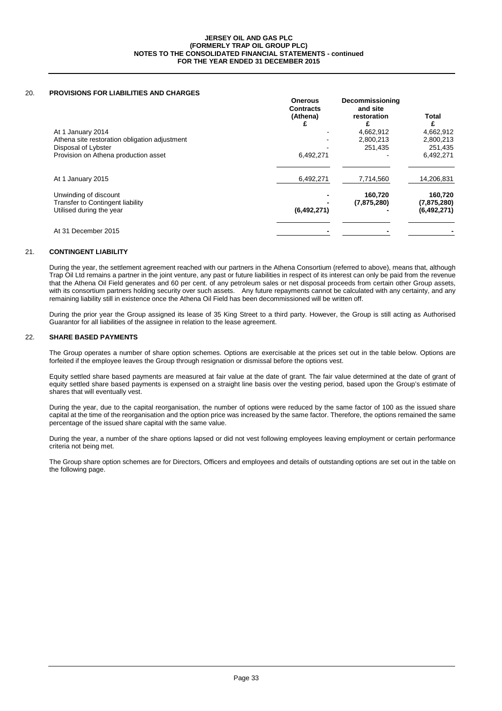## 20. **PROVISIONS FOR LIABILITIES AND CHARGES**

|                                               | <b>Onerous</b><br><b>Contracts</b><br>(Athena) | Decommissioning<br>and site<br>restoration<br>£ | Total<br>£    |
|-----------------------------------------------|------------------------------------------------|-------------------------------------------------|---------------|
| At 1 January 2014                             |                                                | 4,662,912                                       | 4,662,912     |
| Athena site restoration obligation adjustment |                                                | 2,800,213                                       | 2,800,213     |
| Disposal of Lybster                           |                                                | 251,435                                         | 251,435       |
| Provision on Athena production asset          | 6,492,271                                      |                                                 | 6,492,271     |
| At 1 January 2015                             | 6,492,271                                      | 7,714,560                                       | 14,206,831    |
| Unwinding of discount                         |                                                | 160,720                                         | 160,720       |
| <b>Transfer to Contingent liability</b>       |                                                | (7,875,280)                                     | (7,875,280)   |
| Utilised during the year                      | (6,492,271)                                    |                                                 | (6, 492, 271) |
| At 31 December 2015                           |                                                |                                                 |               |

## 21. **CONTINGENT LIABILITY**

During the year, the settlement agreement reached with our partners in the Athena Consortium (referred to above), means that, although Trap Oil Ltd remains a partner in the joint venture, any past or future liabilities in respect of its interest can only be paid from the revenue that the Athena Oil Field generates and 60 per cent. of any petroleum sales or net disposal proceeds from certain other Group assets, with its consortium partners holding security over such assets. Any future repayments cannot be calculated with any certainty, and any remaining liability still in existence once the Athena Oil Field has been decommissioned will be written off.

During the prior year the Group assigned its lease of 35 King Street to a third party. However, the Group is still acting as Authorised Guarantor for all liabilities of the assignee in relation to the lease agreement.

## 22. **SHARE BASED PAYMENTS**

The Group operates a number of share option schemes. Options are exercisable at the prices set out in the table below. Options are forfeited if the employee leaves the Group through resignation or dismissal before the options vest.

Equity settled share based payments are measured at fair value at the date of grant. The fair value determined at the date of grant of equity settled share based payments is expensed on a straight line basis over the vesting period, based upon the Group's estimate of shares that will eventually vest.

During the year, due to the capital reorganisation, the number of options were reduced by the same factor of 100 as the issued share capital at the time of the reorganisation and the option price was increased by the same factor. Therefore, the options remained the same percentage of the issued share capital with the same value.

During the year, a number of the share options lapsed or did not vest following employees leaving employment or certain performance criteria not being met.

The Group share option schemes are for Directors, Officers and employees and details of outstanding options are set out in the table on the following page.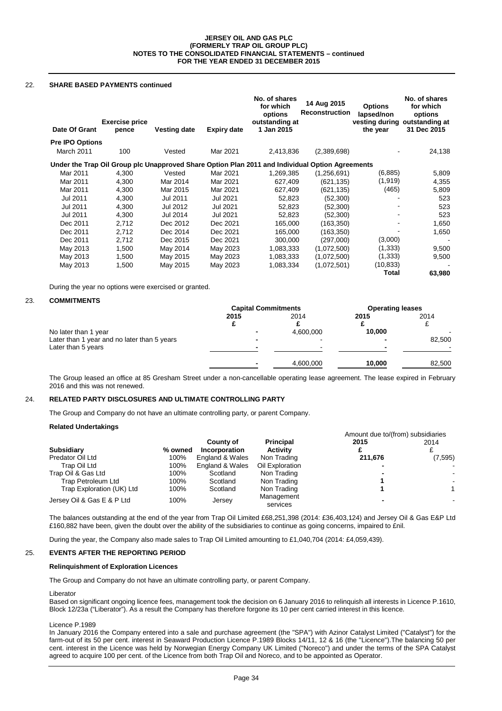## 22. **SHARE BASED PAYMENTS continued**

| Date Of Grant          | <b>Exercise price</b><br>pence | <b>Vesting date</b> | <b>Expiry date</b> | No. of shares<br>for which<br>options<br>outstanding at<br>1 Jan 2015                           | 14 Aug 2015<br>Reconstruction | <b>Options</b><br>lapsed/non<br>vesting during<br>the year | No. of shares<br>for which<br>options<br>outstanding at<br>31 Dec 2015 |
|------------------------|--------------------------------|---------------------|--------------------|-------------------------------------------------------------------------------------------------|-------------------------------|------------------------------------------------------------|------------------------------------------------------------------------|
| <b>Pre IPO Options</b> |                                |                     |                    |                                                                                                 |                               |                                                            |                                                                        |
| March 2011             | 100                            | Vested              | Mar 2021           | 2,413,836                                                                                       | (2,389,698)                   |                                                            | 24,138                                                                 |
|                        |                                |                     |                    | Under the Trap Oil Group plc Unapproved Share Option Plan 2011 and Individual Option Agreements |                               |                                                            |                                                                        |
| Mar 2011               | 4.300                          | Vested              | Mar 2021           | 1,269,385                                                                                       | (1,256,691)                   | (6,885)                                                    | 5,809                                                                  |
| Mar 2011               | 4,300                          | Mar 2014            | Mar 2021           | 627,409                                                                                         | (621, 135)                    | (1, 919)                                                   | 4,355                                                                  |
| Mar 2011               | 4,300                          | Mar 2015            | Mar 2021           | 627,409                                                                                         | (621, 135)                    | (465)                                                      | 5,809                                                                  |
| Jul 2011               | 4,300                          | Jul 2011            | Jul 2021           | 52,823                                                                                          | (52,300)                      |                                                            | 523                                                                    |
| Jul 2011               | 4,300                          | Jul 2012            | Jul 2021           | 52,823                                                                                          | (52, 300)                     |                                                            | 523                                                                    |
| Jul 2011               | 4,300                          | Jul 2014            | Jul 2021           | 52,823                                                                                          | (52, 300)                     |                                                            | 523                                                                    |
| Dec 2011               | 2,712                          | Dec 2012            | Dec 2021           | 165,000                                                                                         | (163, 350)                    |                                                            | 1,650                                                                  |
| Dec 2011               | 2,712                          | Dec 2014            | Dec 2021           | 165,000                                                                                         | (163, 350)                    |                                                            | 1,650                                                                  |
| Dec 2011               | 2,712                          | Dec 2015            | Dec 2021           | 300,000                                                                                         | (297,000)                     | (3,000)                                                    |                                                                        |
| May 2013               | 1,500                          | May 2014            | May 2023           | 1,083,333                                                                                       | (1,072,500)                   | (1, 333)                                                   | 9,500                                                                  |
| May 2013               | 1,500                          | May 2015            | May 2023           | 1,083,333                                                                                       | (1,072,500)                   | (1, 333)                                                   | 9,500                                                                  |
| May 2013               | 1,500                          | May 2015            | May 2023           | 1,083,334                                                                                       | (1,072,501)                   | (10,833)                                                   |                                                                        |
|                        |                                |                     |                    |                                                                                                 |                               | Total                                                      | 63,980                                                                 |

During the year no options were exercised or granted.

## 23. **COMMITMENTS**

|                                                                   |        | <b>Capital Commitments</b> |                          | <b>Operating leases</b> |
|-------------------------------------------------------------------|--------|----------------------------|--------------------------|-------------------------|
|                                                                   | 2015   | 2014                       | 2015                     | 2014                    |
| No later than 1 year                                              |        | 4.600.000                  | 10.000                   |                         |
| Later than 1 year and no later than 5 years<br>Later than 5 years | ۰<br>٠ | -<br>$\,$                  | $\overline{\phantom{a}}$ | 82,500                  |
|                                                                   |        |                            |                          |                         |
|                                                                   | ۰      | 4,600,000                  | 10.000                   | 82.500                  |

The Group leased an office at 85 Gresham Street under a non-cancellable operating lease agreement. The lease expired in February 2016 and this was not renewed.

### 24. **RELATED PARTY DISCLOSURES AND ULTIMATE CONTROLLING PARTY**

The Group and Company do not have an ultimate controlling party, or parent Company.

### **Related Undertakings**

|                            |         |                  |                  | Amount due to/(from) subsidiaries |                          |
|----------------------------|---------|------------------|------------------|-----------------------------------|--------------------------|
|                            |         | <b>County of</b> | <b>Principal</b> | 2015                              | 2014                     |
| <b>Subsidiary</b>          | % owned | Incorporation    | Activity         |                                   |                          |
| Predator Oil Ltd           | 100%    | England & Wales  | Non Trading      | 211.676                           | (7, 595)                 |
| Trap Oil Ltd               | 100%    | England & Wales  | Oil Exploration  |                                   | $\overline{\phantom{a}}$ |
| Trap Oil & Gas Ltd         | 100%    | Scotland         | Non Trading      | -                                 |                          |
| Trap Petroleum Ltd         | 100%    | Scotland         | Non Trading      |                                   |                          |
| Trap Exploration (UK) Ltd  | 100%    | Scotland         | Non Trading      |                                   |                          |
| Jersey Oil & Gas E & P Ltd | 100%    |                  | Management       | -                                 |                          |
|                            |         | Jersev           | services         |                                   |                          |

The balances outstanding at the end of the year from Trap Oil Limited £68,251,398 (2014: £36,403,124) and Jersey Oil & Gas E&P Ltd £160,882 have been, given the doubt over the ability of the subsidiaries to continue as going concerns, impaired to £nil.

During the year, the Company also made sales to Trap Oil Limited amounting to £1,040,704 (2014: £4,059,439).

## 25. **EVENTS AFTER THE REPORTING PERIOD**

## **Relinquishment of Exploration Licences**

The Group and Company do not have an ultimate controlling party, or parent Company.

#### Liberator

Based on significant ongoing licence fees, management took the decision on 6 January 2016 to relinquish all interests in Licence P.1610, Block 12/23a ("Liberator"). As a result the Company has therefore forgone its 10 per cent carried interest in this licence.

#### Licence P.1989

In January 2016 the Company entered into a sale and purchase agreement (the "SPA") with Azinor Catalyst Limited ("Catalyst") for the farm-out of its 50 per cent. interest in Seaward Production Licence P.1989 Blocks 14/11, 12 & 16 (the "Licence").The balancing 50 per cent. interest in the Licence was held by Norwegian Energy Company UK Limited ("Noreco") and under the terms of the SPA Catalyst agreed to acquire 100 per cent. of the Licence from both Trap Oil and Noreco, and to be appointed as Operator.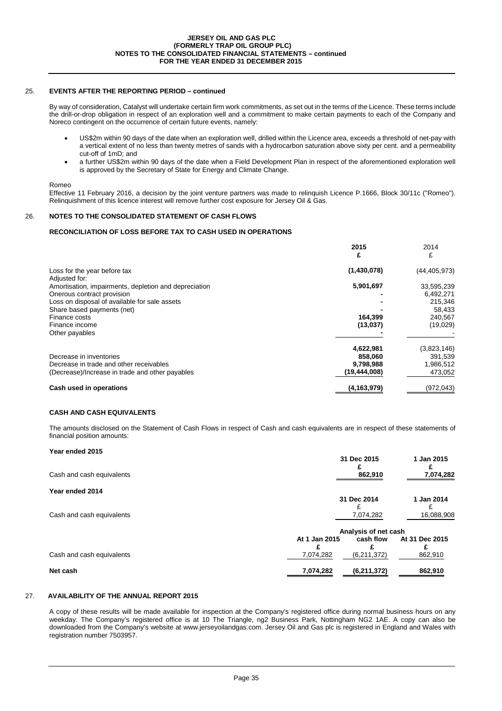# 25. **EVENTS AFTER THE REPORTING PERIOD – continued**

By way of consideration, Catalyst will undertake certain firm work commitments, as set out in the terms of the Licence. These terms include the drill-or-drop obligation in respect of an exploration well and a commitment to make certain payments to each of the Company and Noreco contingent on the occurrence of certain future events, namely:

- US\$2m within 90 days of the date when an exploration well, drilled within the Licence area, exceeds a threshold of net-pay with a vertical extent of no less than twenty metres of sands with a hydrocarbon saturation above sixty per cent. and a permeability cut-off of 1mD; and
- a further US\$2m within 90 days of the date when a Field Development Plan in respect of the aforementioned exploration well is approved by the Secretary of State for Energy and Climate Change.

#### Romeo

Effective 11 February 2016, a decision by the joint venture partners was made to relinquish Licence P.1666, Block 30/11c ("Romeo"). Relinquishment of this licence interest will remove further cost exposure for Jersey Oil & Gas.

## 26. **NOTES TO THE CONSOLIDATED STATEMENT OF CASH FLOWS**

### **RECONCILIATION OF LOSS BEFORE TAX TO CASH USED IN OPERATIONS**

|                                                       | 2015<br>£     | 2014<br>£      |
|-------------------------------------------------------|---------------|----------------|
| Loss for the year before tax                          | (1,430,078)   | (44, 405, 973) |
| Adjusted for:                                         |               |                |
| Amortisation, impairments, depletion and depreciation | 5,901,697     | 33,595,239     |
| Onerous contract provision                            |               | 6,492,271      |
| Loss on disposal of available for sale assets         |               | 215,346        |
| Share based payments (net)                            |               | 58.433         |
| Finance costs                                         | 164.399       | 240,567        |
| Finance income                                        | (13,037)      | (19,029)       |
| Other payables                                        |               |                |
|                                                       | 4,622,981     | (3,823,146)    |
| Decrease in inventories                               | 858.060       | 391,539        |
| Decrease in trade and other receivables               | 9,798,988     | 1,986,512      |
| (Decrease)/Increase in trade and other payables       | (19,444,008)  | 473.052        |
| Cash used in operations                               | (4, 163, 979) | (972, 043)     |

#### **CASH AND CASH EQUIVALENTS**

The amounts disclosed on the Statement of Cash Flows in respect of Cash and cash equivalents are in respect of these statements of financial position amounts:

| Year ended 2015           |               | 31 Dec 2015          | 1 Jan 2015     |
|---------------------------|---------------|----------------------|----------------|
|                           |               |                      |                |
| Cash and cash equivalents |               | 862,910              | 7,074,282      |
| Year ended 2014           |               |                      |                |
|                           |               | 31 Dec 2014          | 1 Jan 2014     |
| Cash and cash equivalents |               | 7,074,282            | 16,088,908     |
|                           |               | Analysis of net cash |                |
|                           | At 1 Jan 2015 | cash flow            | At 31 Dec 2015 |
|                           |               |                      |                |
| Cash and cash equivalents | 7,074,282     | (6,211,372)          | 862,910        |
| Net cash                  | 7,074,282     | (6,211,372)          | 862,910        |

## 27. **AVAILABILITY OF THE ANNUAL REPORT 2015**

A copy of these results will be made available for inspection at the Company's registered office during normal business hours on any weekday. The Company's registered office is at 10 The Triangle, ng2 Business Park, Nottingham NG2 1AE. A copy can also be downloaded from the Company's website at www.jerseyoilandgas.com. Jersey Oil and Gas plc is registered in England and Wales with registration number 7503957.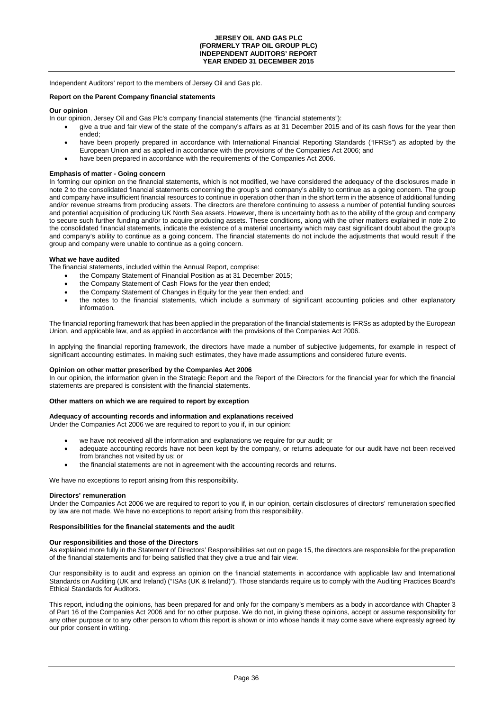Independent Auditors' report to the members of Jersey Oil and Gas plc.

## **Report on the Parent Company financial statements**

#### **Our opinion**

In our opinion, Jersey Oil and Gas Plc's company financial statements (the "financial statements"):

- give a true and fair view of the state of the company's affairs as at 31 December 2015 and of its cash flows for the year then ended;
- have been properly prepared in accordance with International Financial Reporting Standards ("IFRSs") as adopted by the European Union and as applied in accordance with the provisions of the Companies Act 2006; and
- have been prepared in accordance with the requirements of the Companies Act 2006.

#### **Emphasis of matter - Going concern**

In forming our opinion on the financial statements, which is not modified, we have considered the adequacy of the disclosures made in note 2 to the consolidated financial statements concerning the group's and company's ability to continue as a going concern. The group and company have insufficient financial resources to continue in operation other than in the short term in the absence of additional funding and/or revenue streams from producing assets. The directors are therefore continuing to assess a number of potential funding sources and potential acquisition of producing UK North Sea assets. However, there is uncertainty both as to the ability of the group and company to secure such further funding and/or to acquire producing assets. These conditions, along with the other matters explained in note 2 to the consolidated financial statements, indicate the existence of a material uncertainty which may cast significant doubt about the group's and company's ability to continue as a going concern. The financial statements do not include the adjustments that would result if the group and company were unable to continue as a going concern.

#### **What we have audited**

The financial statements, included within the Annual Report, comprise:

- the Company Statement of Financial Position as at 31 December 2015;
- the Company Statement of Cash Flows for the year then ended;
- the Company Statement of Changes in Equity for the year then ended; and
- the notes to the financial statements, which include a summary of significant accounting policies and other explanatory information.

The financial reporting framework that has been applied in the preparation of the financial statements is IFRSs as adopted by the European Union, and applicable law, and as applied in accordance with the provisions of the Companies Act 2006.

In applying the financial reporting framework, the directors have made a number of subjective judgements, for example in respect of significant accounting estimates. In making such estimates, they have made assumptions and considered future events.

#### **Opinion on other matter prescribed by the Companies Act 2006**

In our opinion, the information given in the Strategic Report and the Report of the Directors for the financial year for which the financial statements are prepared is consistent with the financial statements.

## **Other matters on which we are required to report by exception**

### **Adequacy of accounting records and information and explanations received**

Under the Companies Act 2006 we are required to report to you if, in our opinion:

- we have not received all the information and explanations we require for our audit; or
- adequate accounting records have not been kept by the company, or returns adequate for our audit have not been received from branches not visited by us; or
- the financial statements are not in agreement with the accounting records and returns.

We have no exceptions to report arising from this responsibility.

#### **Directors' remuneration**

Under the Companies Act 2006 we are required to report to you if, in our opinion, certain disclosures of directors' remuneration specified by law are not made. We have no exceptions to report arising from this responsibility.

#### **Responsibilities for the financial statements and the audit**

#### **Our responsibilities and those of the Directors**

As explained more fully in the Statement of Directors' Responsibilities set out on page 15, the directors are responsible for the preparation of the financial statements and for being satisfied that they give a true and fair view.

Our responsibility is to audit and express an opinion on the financial statements in accordance with applicable law and International Standards on Auditing (UK and Ireland) ("ISAs (UK & Ireland)"). Those standards require us to comply with the Auditing Practices Board's Ethical Standards for Auditors.

This report, including the opinions, has been prepared for and only for the company's members as a body in accordance with Chapter 3 of Part 16 of the Companies Act 2006 and for no other purpose. We do not, in giving these opinions, accept or assume responsibility for any other purpose or to any other person to whom this report is shown or into whose hands it may come save where expressly agreed by our prior consent in writing.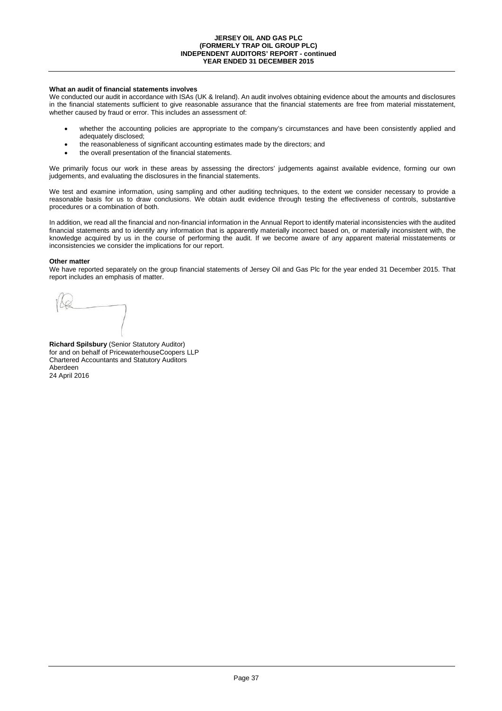## **What an audit of financial statements involves**

We conducted our audit in accordance with ISAs (UK & Ireland). An audit involves obtaining evidence about the amounts and disclosures in the financial statements sufficient to give reasonable assurance that the financial statements are free from material misstatement, whether caused by fraud or error. This includes an assessment of:

- whether the accounting policies are appropriate to the company's circumstances and have been consistently applied and adequately disclosed;
- the reasonableness of significant accounting estimates made by the directors; and
- the overall presentation of the financial statements.

We primarily focus our work in these areas by assessing the directors' judgements against available evidence, forming our own judgements, and evaluating the disclosures in the financial statements.

We test and examine information, using sampling and other auditing techniques, to the extent we consider necessary to provide a reasonable basis for us to draw conclusions. We obtain audit evidence through testing the effectiveness of controls, substantive procedures or a combination of both.

In addition, we read all the financial and non-financial information in the Annual Report to identify material inconsistencies with the audited financial statements and to identify any information that is apparently materially incorrect based on, or materially inconsistent with, the knowledge acquired by us in the course of performing the audit. If we become aware of any apparent material misstatements or inconsistencies we consider the implications for our report.

#### **Other matter**

We have reported separately on the group financial statements of Jersey Oil and Gas Plc for the year ended 31 December 2015. That report includes an emphasis of matter.

**Richard Spilsbury** (Senior Statutory Auditor) for and on behalf of PricewaterhouseCoopers LLP Chartered Accountants and Statutory Auditors Aberdeen 24 April 2016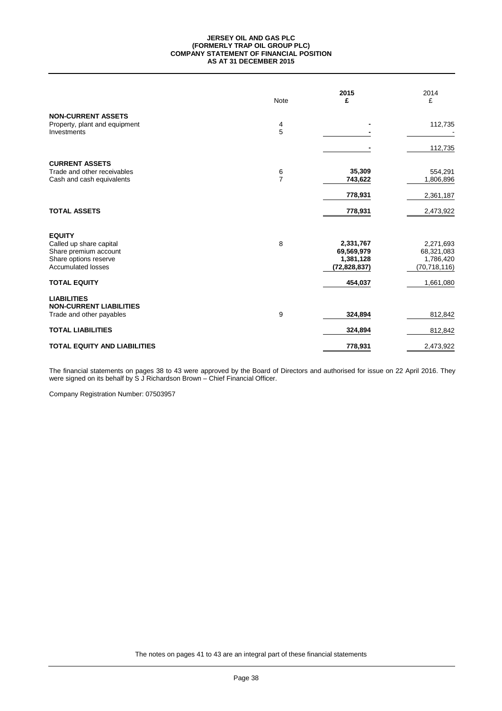#### **JERSEY OIL AND GAS PLC (FORMERLY TRAP OIL GROUP PLC) COMPANY STATEMENT OF FINANCIAL POSITION AS AT 31 DECEMBER 2015**

|                                                                                                                         | <b>Note</b>   | 2015<br>£                                              | 2014<br>£                                              |
|-------------------------------------------------------------------------------------------------------------------------|---------------|--------------------------------------------------------|--------------------------------------------------------|
| <b>NON-CURRENT ASSETS</b><br>Property, plant and equipment<br>Investments                                               | 4<br>5        |                                                        | 112,735                                                |
|                                                                                                                         |               |                                                        | 112,735                                                |
| <b>CURRENT ASSETS</b><br>Trade and other receivables<br>Cash and cash equivalents                                       | $\frac{6}{7}$ | 35,309<br>743,622<br>778,931                           | 554,291<br>1,806,896<br>2,361,187                      |
| <b>TOTAL ASSETS</b>                                                                                                     |               | 778,931                                                | 2,473,922                                              |
| <b>EQUITY</b><br>Called up share capital<br>Share premium account<br>Share options reserve<br><b>Accumulated losses</b> | 8             | 2,331,767<br>69,569,979<br>1,381,128<br>(72, 828, 837) | 2,271,693<br>68,321,083<br>1,786,420<br>(70, 718, 116) |
| <b>TOTAL EQUITY</b>                                                                                                     |               | 454,037                                                | 1,661,080                                              |
| <b>LIABILITIES</b><br><b>NON-CURRENT LIABILITIES</b><br>Trade and other payables                                        | 9             | 324,894                                                | 812,842                                                |
| <b>TOTAL LIABILITIES</b>                                                                                                |               | 324,894                                                | 812,842                                                |
| <b>TOTAL EQUITY AND LIABILITIES</b>                                                                                     |               | 778,931                                                | 2,473,922                                              |

The financial statements on pages 38 to 43 were approved by the Board of Directors and authorised for issue on 22 April 2016. They were signed on its behalf by S J Richardson Brown – Chief Financial Officer.

Company Registration Number: 07503957

The notes on pages 41 to 43 are an integral part of these financial statements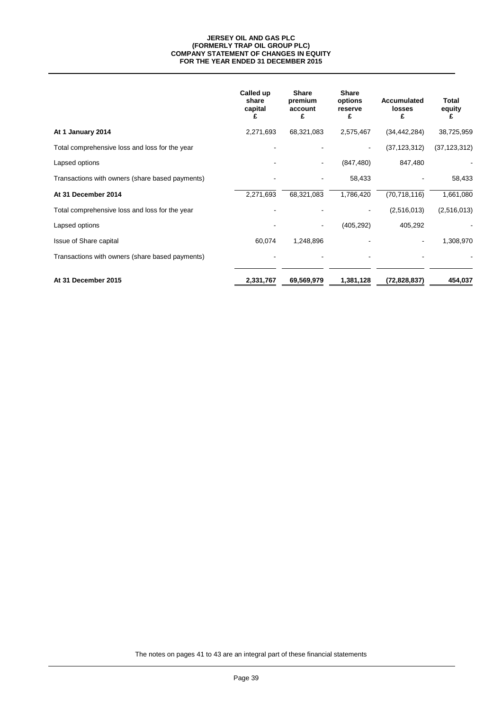### **JERSEY OIL AND GAS PLC (FORMERLY TRAP OIL GROUP PLC) COMPANY STATEMENT OF CHANGES IN EQUITY FOR THE YEAR ENDED 31 DECEMBER 2015**

|                                                 | Called up<br>share<br>capital<br>£ | <b>Share</b><br>premium<br>account<br>£ | <b>Share</b><br>options<br>reserve<br>£ | <b>Accumulated</b><br><b>losses</b><br>£ | Total<br>equity |
|-------------------------------------------------|------------------------------------|-----------------------------------------|-----------------------------------------|------------------------------------------|-----------------|
| At 1 January 2014                               | 2,271,693                          | 68,321,083                              | 2,575,467                               | (34, 442, 284)                           | 38,725,959      |
| Total comprehensive loss and loss for the year  |                                    |                                         |                                         | (37, 123, 312)                           | (37, 123, 312)  |
| Lapsed options                                  |                                    |                                         | (847, 480)                              | 847,480                                  |                 |
| Transactions with owners (share based payments) |                                    |                                         | 58,433                                  |                                          | 58,433          |
| At 31 December 2014                             | 2,271,693                          | 68,321,083                              | 1,786,420                               | (70, 718, 116)                           | 1,661,080       |
| Total comprehensive loss and loss for the year  |                                    |                                         |                                         | (2,516,013)                              | (2,516,013)     |
| Lapsed options                                  |                                    |                                         | (405, 292)                              | 405,292                                  |                 |
| Issue of Share capital                          | 60,074                             | 1,248,896                               |                                         |                                          | 1,308,970       |
| Transactions with owners (share based payments) |                                    |                                         |                                         |                                          |                 |
| At 31 December 2015                             | 2,331,767                          | 69,569,979                              | 1,381,128                               | (72, 828, 837)                           | 454,037         |

The notes on pages 41 to 43 are an integral part of these financial statements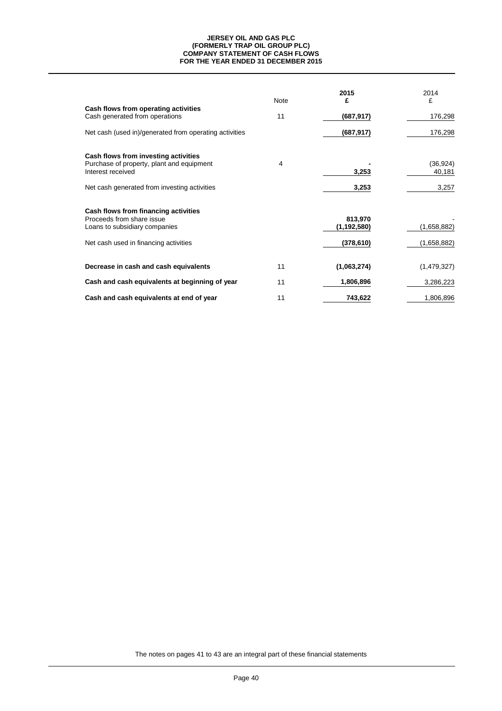### **JERSEY OIL AND GAS PLC (FORMERLY TRAP OIL GROUP PLC) COMPANY STATEMENT OF CASH FLOWS FOR THE YEAR ENDED 31 DECEMBER 2015**

|                                                                                                                                                        | Note | 2015<br>£                              | 2014<br>£                   |
|--------------------------------------------------------------------------------------------------------------------------------------------------------|------|----------------------------------------|-----------------------------|
| Cash flows from operating activities<br>Cash generated from operations                                                                                 | 11   | (687,917)                              | 176,298                     |
| Net cash (used in)/generated from operating activities                                                                                                 |      | (687, 917)                             | 176,298                     |
| Cash flows from investing activities<br>Purchase of property, plant and equipment<br>Interest received<br>Net cash generated from investing activities | 4    | 3,253<br>3,253                         | (36,924)<br>40,181<br>3,257 |
| Cash flows from financing activities<br>Proceeds from share issue<br>Loans to subsidiary companies<br>Net cash used in financing activities            |      | 813,970<br>(1, 192, 580)<br>(378, 610) | (1,658,882)<br>(1,658,882)  |
| Decrease in cash and cash equivalents                                                                                                                  | 11   | (1,063,274)                            | (1,479,327)                 |
| Cash and cash equivalents at beginning of year                                                                                                         | 11   | 1,806,896                              | 3,286,223                   |
| Cash and cash equivalents at end of year                                                                                                               | 11   | 743,622                                | 1,806,896                   |

The notes on pages 41 to 43 are an integral part of these financial statements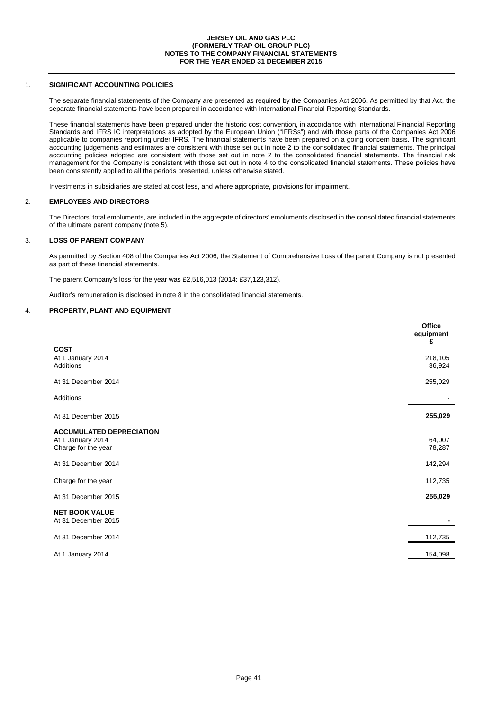## 1. **SIGNIFICANT ACCOUNTING POLICIES**

The separate financial statements of the Company are presented as required by the Companies Act 2006. As permitted by that Act, the separate financial statements have been prepared in accordance with International Financial Reporting Standards.

These financial statements have been prepared under the historic cost convention, in accordance with International Financial Reporting Standards and IFRS IC interpretations as adopted by the European Union ("IFRSs") and with those parts of the Companies Act 2006 applicable to companies reporting under IFRS. The financial statements have been prepared on a going concern basis. The significant accounting judgements and estimates are consistent with those set out in note 2 to the consolidated financial statements. The principal accounting policies adopted are consistent with those set out in note 2 to the consolidated financial statements. The financial risk management for the Company is consistent with those set out in note 4 to the consolidated financial statements. These policies have been consistently applied to all the periods presented, unless otherwise stated.

Investments in subsidiaries are stated at cost less, and where appropriate, provisions for impairment.

## 2. **EMPLOYEES AND DIRECTORS**

The Directors' total emoluments, are included in the aggregate of directors' emoluments disclosed in the consolidated financial statements of the ultimate parent company (note 5).

## 3. **LOSS OF PARENT COMPANY**

As permitted by Section 408 of the Companies Act 2006, the Statement of Comprehensive Loss of the parent Company is not presented as part of these financial statements.

The parent Company's loss for the year was £2,516,013 (2014: £37,123,312).

Auditor's remuneration is disclosed in note 8 in the consolidated financial statements.

## 4. **PROPERTY, PLANT AND EQUIPMENT**

|                                                                             | <b>Office</b><br>equipment<br>£ |
|-----------------------------------------------------------------------------|---------------------------------|
| <b>COST</b><br>At 1 January 2014<br>Additions                               | 218,105<br>36,924               |
| At 31 December 2014                                                         | 255,029                         |
| Additions                                                                   |                                 |
| At 31 December 2015                                                         | 255,029                         |
| <b>ACCUMULATED DEPRECIATION</b><br>At 1 January 2014<br>Charge for the year | 64,007<br>78,287                |
| At 31 December 2014                                                         | 142,294                         |
| Charge for the year                                                         | 112,735                         |
| At 31 December 2015                                                         | 255,029                         |
| <b>NET BOOK VALUE</b><br>At 31 December 2015                                |                                 |
| At 31 December 2014                                                         | 112,735                         |
| At 1 January 2014                                                           | 154,098                         |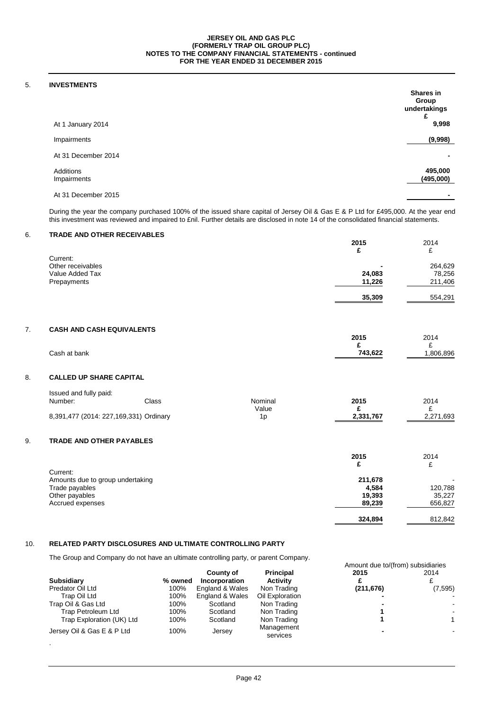## 5. **INVESTMENTS**

| At 1 January 2014        | Shares in<br>Group<br>undertakings<br>£<br>9,998 |
|--------------------------|--------------------------------------------------|
| Impairments              | (9,998)                                          |
| At 31 December 2014      | -                                                |
| Additions<br>Impairments | 495,000<br>(495,000)                             |
| At 31 December 2015      |                                                  |

During the year the company purchased 100% of the issued share capital of Jersey Oil & Gas E & P Ltd for £495,000. At the year end this investment was reviewed and impaired to £nil. Further details are disclosed in note 14 of the consolidated financial statements.

## 6. **TRADE AND OTHER RECEIVABLES**

|                   | 2015<br>£ | 2014<br>£ |
|-------------------|-----------|-----------|
| Current:          |           |           |
| Other receivables |           | 264,629   |
| Value Added Tax   | 24,083    | 78,256    |
| Prepayments       | 11,226    | 211,406   |
|                   | 35,309    | 554,291   |

## 7. **CASH AND CASH EQUIVALENTS**

|              | 2015    | 2014     |
|--------------|---------|----------|
|              | -       | ~        |
| Cash at bank | 743,622 | ,806,896 |
|              |         |          |

## 8. **CALLED UP SHARE CAPITAL**

| Issued and fully paid:                 |       |         |           |           |
|----------------------------------------|-------|---------|-----------|-----------|
| Number:                                | Class | Nominal | 2015      | 2014      |
|                                        |       | Value   |           |           |
| 8,391,477 (2014: 227,169,331) Ordinary |       | 1p      | 2,331,767 | 2,271,693 |
|                                        |       |         |           |           |

## 9. **TRADE AND OTHER PAYABLES**

.

|                                  | 2015    | 2014<br>£ |
|----------------------------------|---------|-----------|
| Current:                         |         |           |
| Amounts due to group undertaking | 211,678 |           |
| Trade payables                   | 4,584   | 120,788   |
| Other payables                   | 19,393  | 35,227    |
| Accrued expenses                 | 89,239  | 656,827   |
|                                  | 324,894 | 812,842   |

# 10. **RELATED PARTY DISCLOSURES AND ULTIMATE CONTROLLING PARTY**

The Group and Company do not have an ultimate controlling party, or parent Company.

|                            |         |                      |                        | Amount due to/(from) subsidiaries |                |
|----------------------------|---------|----------------------|------------------------|-----------------------------------|----------------|
|                            |         | County of            | <b>Principal</b>       | 2015                              | 2014           |
| Subsidiary                 | % owned | <b>Incorporation</b> | Activity               |                                   |                |
| Predator Oil Ltd           | 100%    | England & Wales      | Non Trading            | (211, 676)                        | (7,595)        |
| Trap Oil Ltd               | 100%    | England & Wales      | Oil Exploration        |                                   |                |
| Trap Oil & Gas Ltd         | 100%    | Scotland             | Non Trading            |                                   | -              |
| Trap Petroleum Ltd         | 100%    | Scotland             | Non Trading            |                                   | $\blacksquare$ |
| Trap Exploration (UK) Ltd  | 100%    | Scotland             | Non Trading            |                                   | 1              |
| Jersey Oil & Gas E & P Ltd | 100%    | Jersey               | Management<br>services |                                   |                |